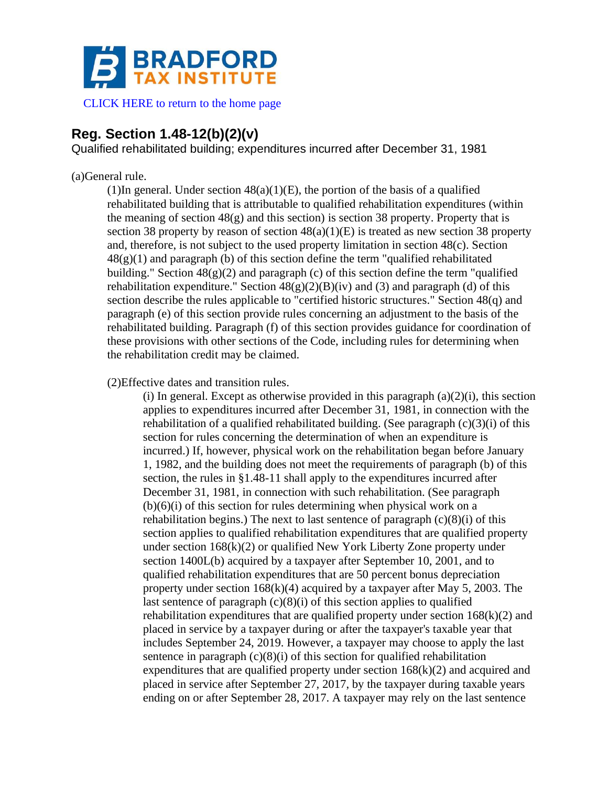

[CLICK HERE to return to the home page](https://www.bradfordtaxinstitute.com)

# **Reg. Section 1.48-12(b)(2)(v)**

Qualified rehabilitated building; expenditures incurred after December 31, 1981

## (a)General rule.

(1)In general. Under section  $48(a)(1)(E)$ , the portion of the basis of a qualified rehabilitated building that is attributable to qualified rehabilitation expenditures (within the meaning of section  $48(g)$  and this section) is section 38 property. Property that is section 38 property by reason of section  $48(a)(1)(E)$  is treated as new section 38 property and, therefore, is not subject to the used property limitation in section 48(c). Section  $48(g)(1)$  and paragraph (b) of this section define the term "qualified rehabilitated building." Section  $48(g)(2)$  and paragraph (c) of this section define the term "qualified rehabilitation expenditure." Section  $48(g)(2)(B)(iv)$  and (3) and paragraph (d) of this section describe the rules applicable to "certified historic structures." Section 48(q) and paragraph (e) of this section provide rules concerning an adjustment to the basis of the rehabilitated building. Paragraph (f) of this section provides guidance for coordination of these provisions with other sections of the Code, including rules for determining when the rehabilitation credit may be claimed.

(2)Effective dates and transition rules.

(i) In general. Except as otherwise provided in this paragraph  $(a)(2)(i)$ , this section applies to expenditures incurred after December 31, 1981, in connection with the rehabilitation of a qualified rehabilitated building. (See paragraph  $(c)(3)(i)$  of this section for rules concerning the determination of when an expenditure is incurred.) If, however, physical work on the rehabilitation began before January 1, 1982, and the building does not meet the requirements of paragraph (b) of this section, the rules in §1.48-11 shall apply to the expenditures incurred after December 31, 1981, in connection with such rehabilitation. (See paragraph  $(b)(6)(i)$  of this section for rules determining when physical work on a rehabilitation begins.) The next to last sentence of paragraph  $(c)(8)(i)$  of this section applies to qualified rehabilitation expenditures that are qualified property under section 168(k)(2) or qualified New York Liberty Zone property under section 1400L(b) acquired by a taxpayer after September 10, 2001, and to qualified rehabilitation expenditures that are 50 percent bonus depreciation property under section 168(k)(4) acquired by a taxpayer after May 5, 2003. The last sentence of paragraph  $(c)(8)(i)$  of this section applies to qualified rehabilitation expenditures that are qualified property under section  $168(k)(2)$  and placed in service by a taxpayer during or after the taxpayer's taxable year that includes September 24, 2019. However, a taxpayer may choose to apply the last sentence in paragraph  $(c)(8)(i)$  of this section for qualified rehabilitation expenditures that are qualified property under section  $168(k)(2)$  and acquired and placed in service after September 27, 2017, by the taxpayer during taxable years ending on or after September 28, 2017. A taxpayer may rely on the last sentence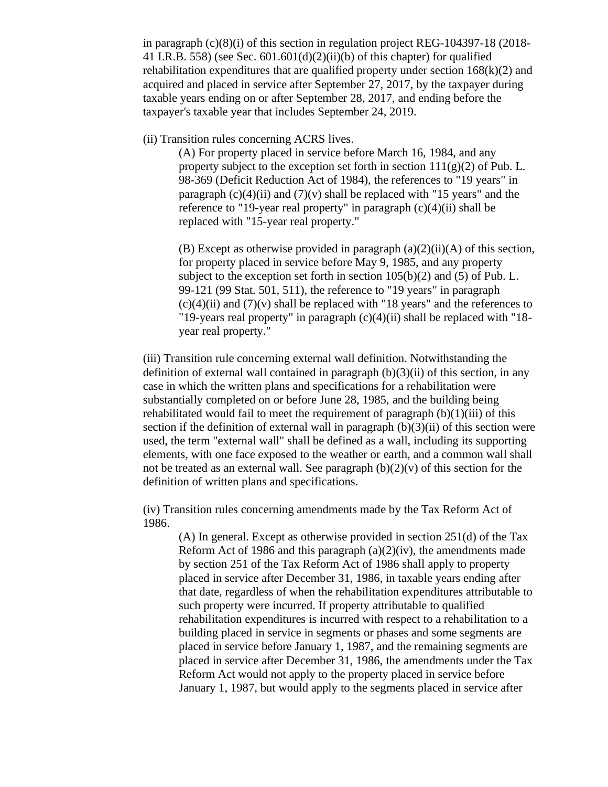in paragraph (c)(8)(i) of this section in regulation project REG-104397-18 (2018- 41 I.R.B. 558) (see Sec.  $601.601(d)(2)(ii)(b)$  of this chapter) for qualified rehabilitation expenditures that are qualified property under section  $168(k)(2)$  and acquired and placed in service after September 27, 2017, by the taxpayer during taxable years ending on or after September 28, 2017, and ending before the taxpayer's taxable year that includes September 24, 2019.

(ii) Transition rules concerning ACRS lives.

(A) For property placed in service before March 16, 1984, and any property subject to the exception set forth in section  $111(g)(2)$  of Pub. L. 98-369 (Deficit Reduction Act of 1984), the references to "19 years" in paragraph  $(c)(4)(ii)$  and  $(7)(v)$  shall be replaced with "15 years" and the reference to "19-year real property" in paragraph  $(c)(4)(ii)$  shall be replaced with "15-year real property."

(B) Except as otherwise provided in paragraph  $(a)(2)(ii)(A)$  of this section, for property placed in service before May 9, 1985, and any property subject to the exception set forth in section  $105(b)(2)$  and  $(5)$  of Pub. L. 99-121 (99 Stat. 501, 511), the reference to "19 years" in paragraph  $(c)(4)(ii)$  and  $(7)(v)$  shall be replaced with "18 years" and the references to "19-years real property" in paragraph  $(c)(4)(ii)$  shall be replaced with "18year real property."

(iii) Transition rule concerning external wall definition. Notwithstanding the definition of external wall contained in paragraph  $(b)(3)(ii)$  of this section, in any case in which the written plans and specifications for a rehabilitation were substantially completed on or before June 28, 1985, and the building being rehabilitated would fail to meet the requirement of paragraph  $(b)(1)(iii)$  of this section if the definition of external wall in paragraph  $(b)(3)(ii)$  of this section were used, the term "external wall" shall be defined as a wall, including its supporting elements, with one face exposed to the weather or earth, and a common wall shall not be treated as an external wall. See paragraph  $(b)(2)(v)$  of this section for the definition of written plans and specifications.

(iv) Transition rules concerning amendments made by the Tax Reform Act of 1986.

(A) In general. Except as otherwise provided in section 251(d) of the Tax Reform Act of 1986 and this paragraph  $(a)(2)(iv)$ , the amendments made by section 251 of the Tax Reform Act of 1986 shall apply to property placed in service after December 31, 1986, in taxable years ending after that date, regardless of when the rehabilitation expenditures attributable to such property were incurred. If property attributable to qualified rehabilitation expenditures is incurred with respect to a rehabilitation to a building placed in service in segments or phases and some segments are placed in service before January 1, 1987, and the remaining segments are placed in service after December 31, 1986, the amendments under the Tax Reform Act would not apply to the property placed in service before January 1, 1987, but would apply to the segments placed in service after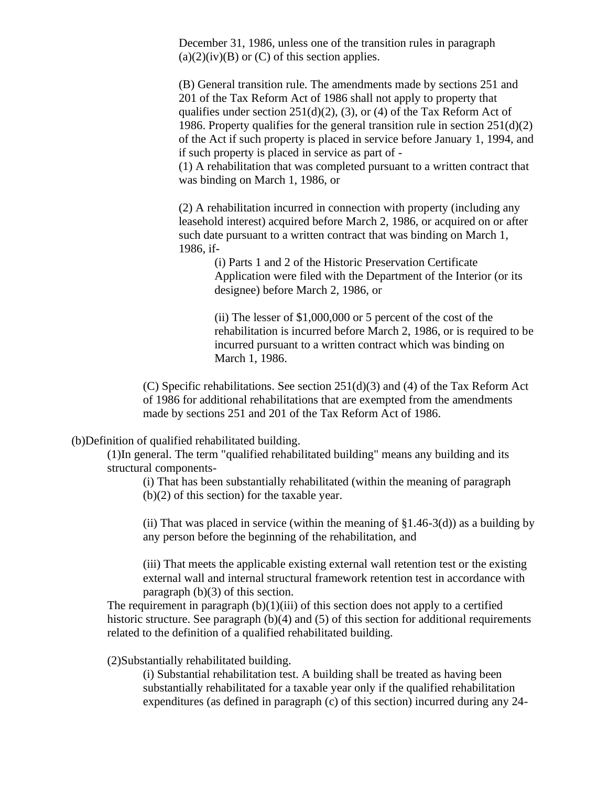December 31, 1986, unless one of the transition rules in paragraph  $(a)(2)(iv)(B)$  or  $(C)$  of this section applies.

(B) General transition rule. The amendments made by sections 251 and 201 of the Tax Reform Act of 1986 shall not apply to property that qualifies under section  $251(d)(2)$ , (3), or (4) of the Tax Reform Act of 1986. Property qualifies for the general transition rule in section 251(d)(2) of the Act if such property is placed in service before January 1, 1994, and if such property is placed in service as part of -

(1) A rehabilitation that was completed pursuant to a written contract that was binding on March 1, 1986, or

(2) A rehabilitation incurred in connection with property (including any leasehold interest) acquired before March 2, 1986, or acquired on or after such date pursuant to a written contract that was binding on March 1, 1986, if-

(i) Parts 1 and 2 of the Historic Preservation Certificate Application were filed with the Department of the Interior (or its designee) before March 2, 1986, or

(ii) The lesser of \$1,000,000 or 5 percent of the cost of the rehabilitation is incurred before March 2, 1986, or is required to be incurred pursuant to a written contract which was binding on March 1, 1986.

(C) Specific rehabilitations. See section  $251(d)(3)$  and (4) of the Tax Reform Act of 1986 for additional rehabilitations that are exempted from the amendments made by sections 251 and 201 of the Tax Reform Act of 1986.

(b)Definition of qualified rehabilitated building.

(1)In general. The term "qualified rehabilitated building" means any building and its structural components-

(i) That has been substantially rehabilitated (within the meaning of paragraph (b)(2) of this section) for the taxable year.

(ii) That was placed in service (within the meaning of  $\S1.46-3(d)$ ) as a building by any person before the beginning of the rehabilitation, and

(iii) That meets the applicable existing external wall retention test or the existing external wall and internal structural framework retention test in accordance with paragraph (b)(3) of this section.

The requirement in paragraph  $(b)(1)(iii)$  of this section does not apply to a certified historic structure. See paragraph (b)(4) and (5) of this section for additional requirements related to the definition of a qualified rehabilitated building.

(2)Substantially rehabilitated building.

(i) Substantial rehabilitation test. A building shall be treated as having been substantially rehabilitated for a taxable year only if the qualified rehabilitation expenditures (as defined in paragraph (c) of this section) incurred during any 24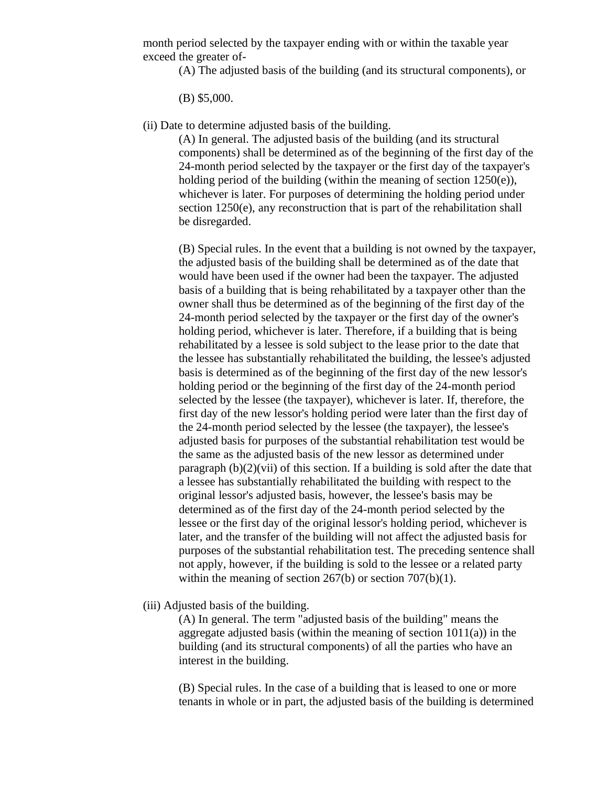month period selected by the taxpayer ending with or within the taxable year exceed the greater of-

(A) The adjusted basis of the building (and its structural components), or

(B) \$5,000.

(ii) Date to determine adjusted basis of the building.

(A) In general. The adjusted basis of the building (and its structural components) shall be determined as of the beginning of the first day of the 24-month period selected by the taxpayer or the first day of the taxpayer's holding period of the building (within the meaning of section  $1250(e)$ ), whichever is later. For purposes of determining the holding period under section 1250(e), any reconstruction that is part of the rehabilitation shall be disregarded.

(B) Special rules. In the event that a building is not owned by the taxpayer, the adjusted basis of the building shall be determined as of the date that would have been used if the owner had been the taxpayer. The adjusted basis of a building that is being rehabilitated by a taxpayer other than the owner shall thus be determined as of the beginning of the first day of the 24-month period selected by the taxpayer or the first day of the owner's holding period, whichever is later. Therefore, if a building that is being rehabilitated by a lessee is sold subject to the lease prior to the date that the lessee has substantially rehabilitated the building, the lessee's adjusted basis is determined as of the beginning of the first day of the new lessor's holding period or the beginning of the first day of the 24-month period selected by the lessee (the taxpayer), whichever is later. If, therefore, the first day of the new lessor's holding period were later than the first day of the 24-month period selected by the lessee (the taxpayer), the lessee's adjusted basis for purposes of the substantial rehabilitation test would be the same as the adjusted basis of the new lessor as determined under paragraph (b)(2)(vii) of this section. If a building is sold after the date that a lessee has substantially rehabilitated the building with respect to the original lessor's adjusted basis, however, the lessee's basis may be determined as of the first day of the 24-month period selected by the lessee or the first day of the original lessor's holding period, whichever is later, and the transfer of the building will not affect the adjusted basis for purposes of the substantial rehabilitation test. The preceding sentence shall not apply, however, if the building is sold to the lessee or a related party within the meaning of section 267(b) or section 707(b)(1).

(iii) Adjusted basis of the building.

(A) In general. The term "adjusted basis of the building" means the aggregate adjusted basis (within the meaning of section  $1011(a)$ ) in the building (and its structural components) of all the parties who have an interest in the building.

(B) Special rules. In the case of a building that is leased to one or more tenants in whole or in part, the adjusted basis of the building is determined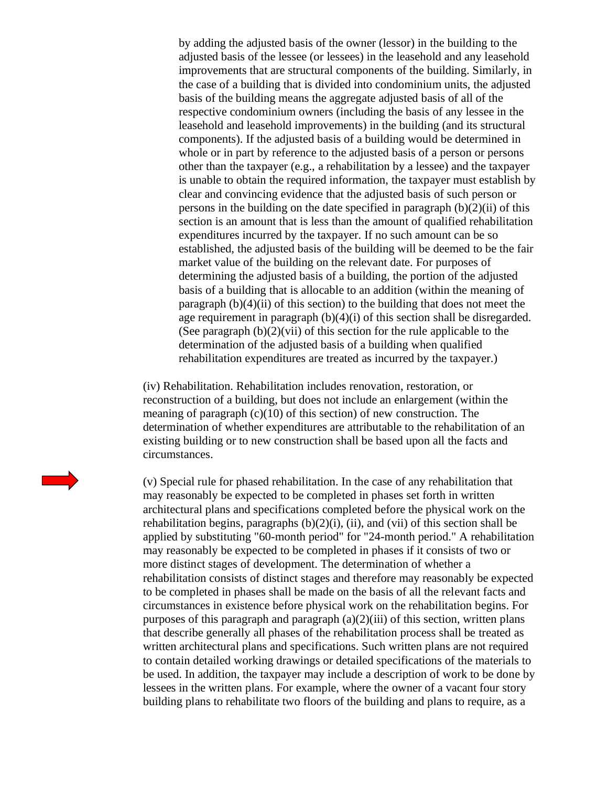by adding the adjusted basis of the owner (lessor) in the building to the adjusted basis of the lessee (or lessees) in the leasehold and any leasehold improvements that are structural components of the building. Similarly, in the case of a building that is divided into condominium units, the adjusted basis of the building means the aggregate adjusted basis of all of the respective condominium owners (including the basis of any lessee in the leasehold and leasehold improvements) in the building (and its structural components). If the adjusted basis of a building would be determined in whole or in part by reference to the adjusted basis of a person or persons other than the taxpayer (e.g., a rehabilitation by a lessee) and the taxpayer is unable to obtain the required information, the taxpayer must establish by clear and convincing evidence that the adjusted basis of such person or persons in the building on the date specified in paragraph  $(b)(2)(ii)$  of this section is an amount that is less than the amount of qualified rehabilitation expenditures incurred by the taxpayer. If no such amount can be so established, the adjusted basis of the building will be deemed to be the fair market value of the building on the relevant date. For purposes of determining the adjusted basis of a building, the portion of the adjusted basis of a building that is allocable to an addition (within the meaning of paragraph  $(b)(4)(ii)$  of this section) to the building that does not meet the age requirement in paragraph  $(b)(4)(i)$  of this section shall be disregarded. (See paragraph  $(b)(2)(vii)$  of this section for the rule applicable to the determination of the adjusted basis of a building when qualified rehabilitation expenditures are treated as incurred by the taxpayer.)

(iv) Rehabilitation. Rehabilitation includes renovation, restoration, or reconstruction of a building, but does not include an enlargement (within the meaning of paragraph  $(c)(10)$  of this section) of new construction. The determination of whether expenditures are attributable to the rehabilitation of an existing building or to new construction shall be based upon all the facts and circumstances.

(v) Special rule for phased rehabilitation. In the case of any rehabilitation that may reasonably be expected to be completed in phases set forth in written architectural plans and specifications completed before the physical work on the rehabilitation begins, paragraphs  $(b)(2)(i)$ ,  $(ii)$ , and  $(vii)$  of this section shall be applied by substituting "60-month period" for "24-month period." A rehabilitation may reasonably be expected to be completed in phases if it consists of two or more distinct stages of development. The determination of whether a rehabilitation consists of distinct stages and therefore may reasonably be expected to be completed in phases shall be made on the basis of all the relevant facts and circumstances in existence before physical work on the rehabilitation begins. For purposes of this paragraph and paragraph  $(a)(2)(iii)$  of this section, written plans that describe generally all phases of the rehabilitation process shall be treated as written architectural plans and specifications. Such written plans are not required to contain detailed working drawings or detailed specifications of the materials to be used. In addition, the taxpayer may include a description of work to be done by lessees in the written plans. For example, where the owner of a vacant four story building plans to rehabilitate two floors of the building and plans to require, as a

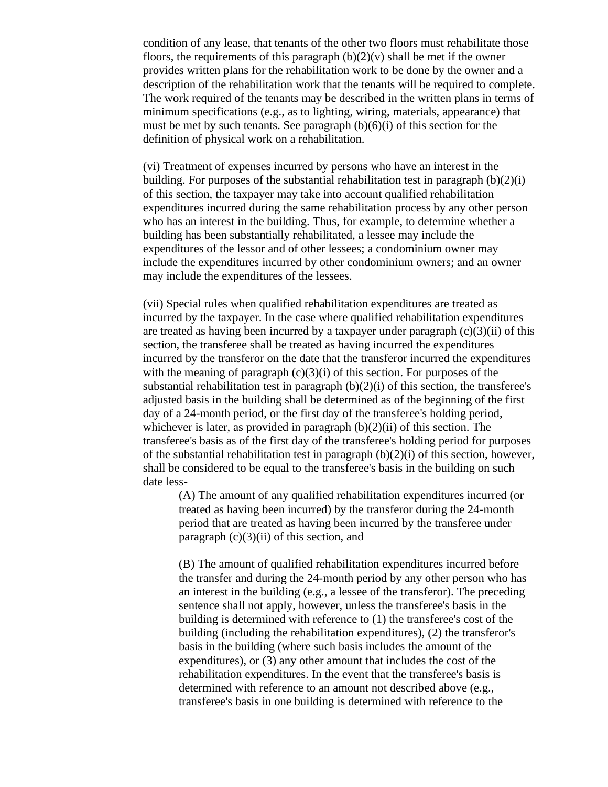condition of any lease, that tenants of the other two floors must rehabilitate those floors, the requirements of this paragraph  $(b)(2)(v)$  shall be met if the owner provides written plans for the rehabilitation work to be done by the owner and a description of the rehabilitation work that the tenants will be required to complete. The work required of the tenants may be described in the written plans in terms of minimum specifications (e.g., as to lighting, wiring, materials, appearance) that must be met by such tenants. See paragraph  $(b)(6)(i)$  of this section for the definition of physical work on a rehabilitation.

(vi) Treatment of expenses incurred by persons who have an interest in the building. For purposes of the substantial rehabilitation test in paragraph  $(b)(2)(i)$ of this section, the taxpayer may take into account qualified rehabilitation expenditures incurred during the same rehabilitation process by any other person who has an interest in the building. Thus, for example, to determine whether a building has been substantially rehabilitated, a lessee may include the expenditures of the lessor and of other lessees; a condominium owner may include the expenditures incurred by other condominium owners; and an owner may include the expenditures of the lessees.

(vii) Special rules when qualified rehabilitation expenditures are treated as incurred by the taxpayer. In the case where qualified rehabilitation expenditures are treated as having been incurred by a taxpayer under paragraph  $(c)(3)(ii)$  of this section, the transferee shall be treated as having incurred the expenditures incurred by the transferor on the date that the transferor incurred the expenditures with the meaning of paragraph  $(c)(3)(i)$  of this section. For purposes of the substantial rehabilitation test in paragraph  $(b)(2)(i)$  of this section, the transferee's adjusted basis in the building shall be determined as of the beginning of the first day of a 24-month period, or the first day of the transferee's holding period, whichever is later, as provided in paragraph  $(b)(2)(ii)$  of this section. The transferee's basis as of the first day of the transferee's holding period for purposes of the substantial rehabilitation test in paragraph  $(b)(2)(i)$  of this section, however, shall be considered to be equal to the transferee's basis in the building on such date less-

(A) The amount of any qualified rehabilitation expenditures incurred (or treated as having been incurred) by the transferor during the 24-month period that are treated as having been incurred by the transferee under paragraph  $(c)(3)(ii)$  of this section, and

(B) The amount of qualified rehabilitation expenditures incurred before the transfer and during the 24-month period by any other person who has an interest in the building (e.g., a lessee of the transferor). The preceding sentence shall not apply, however, unless the transferee's basis in the building is determined with reference to (1) the transferee's cost of the building (including the rehabilitation expenditures), (2) the transferor's basis in the building (where such basis includes the amount of the expenditures), or (3) any other amount that includes the cost of the rehabilitation expenditures. In the event that the transferee's basis is determined with reference to an amount not described above (e.g., transferee's basis in one building is determined with reference to the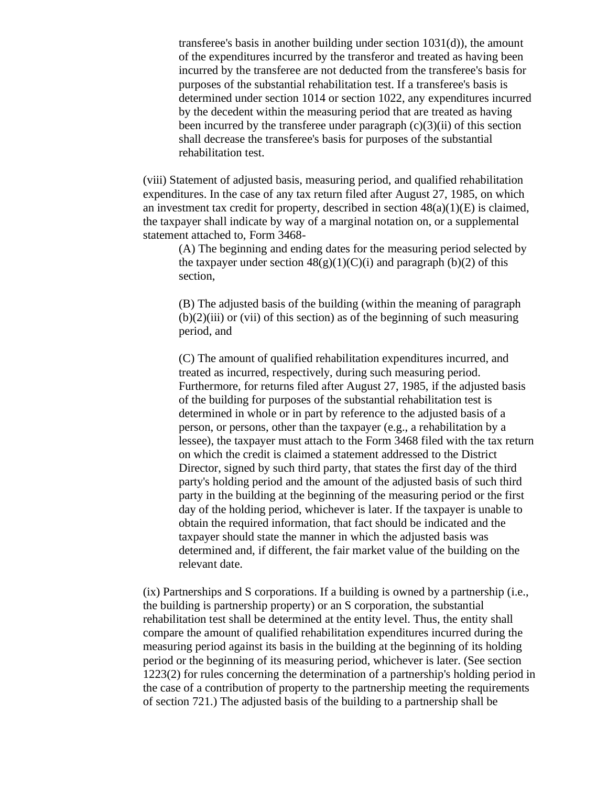transferee's basis in another building under section 1031(d)), the amount of the expenditures incurred by the transferor and treated as having been incurred by the transferee are not deducted from the transferee's basis for purposes of the substantial rehabilitation test. If a transferee's basis is determined under section 1014 or section 1022, any expenditures incurred by the decedent within the measuring period that are treated as having been incurred by the transferee under paragraph  $(c)(3)(ii)$  of this section shall decrease the transferee's basis for purposes of the substantial rehabilitation test.

(viii) Statement of adjusted basis, measuring period, and qualified rehabilitation expenditures. In the case of any tax return filed after August 27, 1985, on which an investment tax credit for property, described in section  $48(a)(1)(E)$  is claimed, the taxpayer shall indicate by way of a marginal notation on, or a supplemental statement attached to, Form 3468-

(A) The beginning and ending dates for the measuring period selected by the taxpayer under section  $48(g)(1)(C)(i)$  and paragraph (b)(2) of this section,

(B) The adjusted basis of the building (within the meaning of paragraph  $(b)(2)(iii)$  or (vii) of this section) as of the beginning of such measuring period, and

(C) The amount of qualified rehabilitation expenditures incurred, and treated as incurred, respectively, during such measuring period. Furthermore, for returns filed after August 27, 1985, if the adjusted basis of the building for purposes of the substantial rehabilitation test is determined in whole or in part by reference to the adjusted basis of a person, or persons, other than the taxpayer (e.g., a rehabilitation by a lessee), the taxpayer must attach to the Form 3468 filed with the tax return on which the credit is claimed a statement addressed to the District Director, signed by such third party, that states the first day of the third party's holding period and the amount of the adjusted basis of such third party in the building at the beginning of the measuring period or the first day of the holding period, whichever is later. If the taxpayer is unable to obtain the required information, that fact should be indicated and the taxpayer should state the manner in which the adjusted basis was determined and, if different, the fair market value of the building on the relevant date.

(ix) Partnerships and S corporations. If a building is owned by a partnership (i.e., the building is partnership property) or an S corporation, the substantial rehabilitation test shall be determined at the entity level. Thus, the entity shall compare the amount of qualified rehabilitation expenditures incurred during the measuring period against its basis in the building at the beginning of its holding period or the beginning of its measuring period, whichever is later. (See section 1223(2) for rules concerning the determination of a partnership's holding period in the case of a contribution of property to the partnership meeting the requirements of section 721.) The adjusted basis of the building to a partnership shall be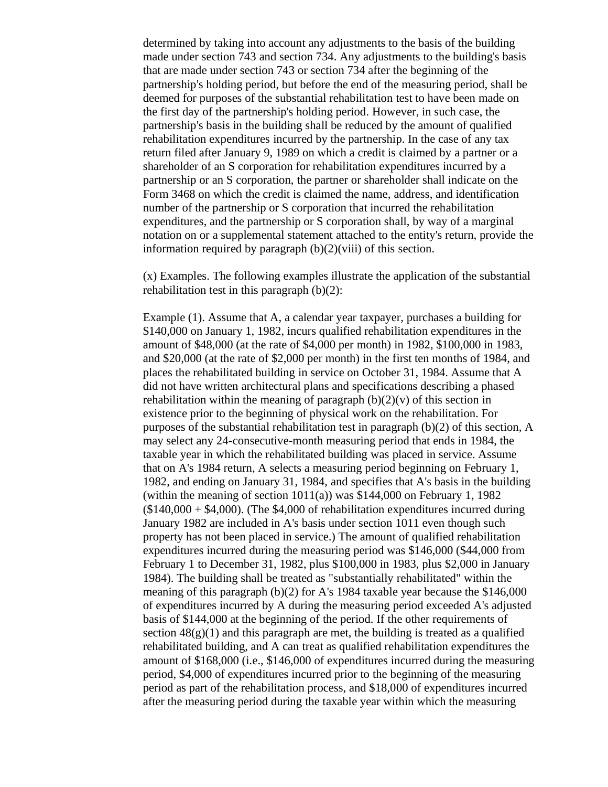determined by taking into account any adjustments to the basis of the building made under section 743 and section 734. Any adjustments to the building's basis that are made under section 743 or section 734 after the beginning of the partnership's holding period, but before the end of the measuring period, shall be deemed for purposes of the substantial rehabilitation test to have been made on the first day of the partnership's holding period. However, in such case, the partnership's basis in the building shall be reduced by the amount of qualified rehabilitation expenditures incurred by the partnership. In the case of any tax return filed after January 9, 1989 on which a credit is claimed by a partner or a shareholder of an S corporation for rehabilitation expenditures incurred by a partnership or an S corporation, the partner or shareholder shall indicate on the Form 3468 on which the credit is claimed the name, address, and identification number of the partnership or S corporation that incurred the rehabilitation expenditures, and the partnership or S corporation shall, by way of a marginal notation on or a supplemental statement attached to the entity's return, provide the information required by paragraph (b)(2)(viii) of this section.

(x) Examples. The following examples illustrate the application of the substantial rehabilitation test in this paragraph (b)(2):

Example (1). Assume that A, a calendar year taxpayer, purchases a building for \$140,000 on January 1, 1982, incurs qualified rehabilitation expenditures in the amount of \$48,000 (at the rate of \$4,000 per month) in 1982, \$100,000 in 1983, and \$20,000 (at the rate of \$2,000 per month) in the first ten months of 1984, and places the rehabilitated building in service on October 31, 1984. Assume that A did not have written architectural plans and specifications describing a phased rehabilitation within the meaning of paragraph  $(b)(2)(v)$  of this section in existence prior to the beginning of physical work on the rehabilitation. For purposes of the substantial rehabilitation test in paragraph (b)(2) of this section, A may select any 24-consecutive-month measuring period that ends in 1984, the taxable year in which the rehabilitated building was placed in service. Assume that on A's 1984 return, A selects a measuring period beginning on February 1, 1982, and ending on January 31, 1984, and specifies that A's basis in the building (within the meaning of section  $1011(a)$ ) was \$144,000 on February 1, 1982  $(140,000 + 44,000)$ . (The \$4,000 of rehabilitation expenditures incurred during January 1982 are included in A's basis under section 1011 even though such property has not been placed in service.) The amount of qualified rehabilitation expenditures incurred during the measuring period was \$146,000 (\$44,000 from February 1 to December 31, 1982, plus \$100,000 in 1983, plus \$2,000 in January 1984). The building shall be treated as "substantially rehabilitated" within the meaning of this paragraph  $(b)(2)$  for A's 1984 taxable year because the \$146,000 of expenditures incurred by A during the measuring period exceeded A's adjusted basis of \$144,000 at the beginning of the period. If the other requirements of section  $48(g)(1)$  and this paragraph are met, the building is treated as a qualified rehabilitated building, and A can treat as qualified rehabilitation expenditures the amount of \$168,000 (i.e., \$146,000 of expenditures incurred during the measuring period, \$4,000 of expenditures incurred prior to the beginning of the measuring period as part of the rehabilitation process, and \$18,000 of expenditures incurred after the measuring period during the taxable year within which the measuring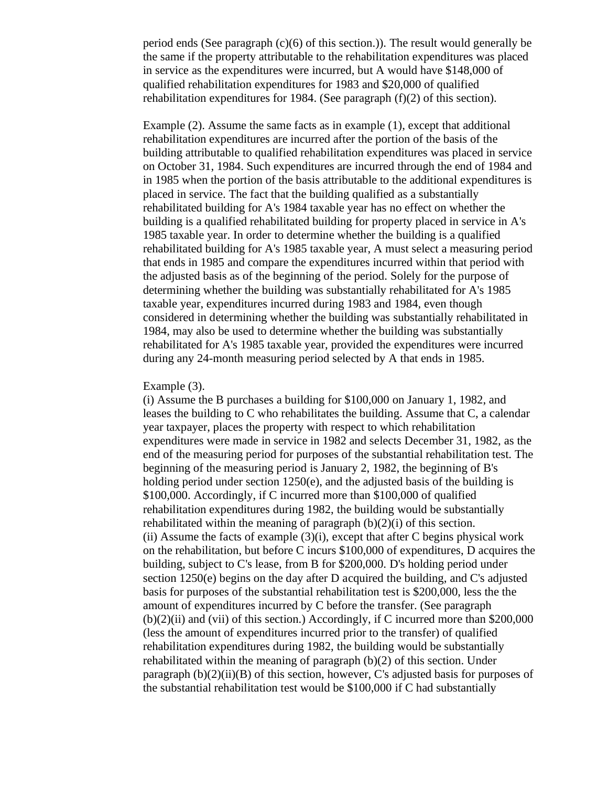period ends (See paragraph (c)(6) of this section.)). The result would generally be the same if the property attributable to the rehabilitation expenditures was placed in service as the expenditures were incurred, but A would have \$148,000 of qualified rehabilitation expenditures for 1983 and \$20,000 of qualified rehabilitation expenditures for 1984. (See paragraph (f)(2) of this section).

Example (2). Assume the same facts as in example (1), except that additional rehabilitation expenditures are incurred after the portion of the basis of the building attributable to qualified rehabilitation expenditures was placed in service on October 31, 1984. Such expenditures are incurred through the end of 1984 and in 1985 when the portion of the basis attributable to the additional expenditures is placed in service. The fact that the building qualified as a substantially rehabilitated building for A's 1984 taxable year has no effect on whether the building is a qualified rehabilitated building for property placed in service in A's 1985 taxable year. In order to determine whether the building is a qualified rehabilitated building for A's 1985 taxable year, A must select a measuring period that ends in 1985 and compare the expenditures incurred within that period with the adjusted basis as of the beginning of the period. Solely for the purpose of determining whether the building was substantially rehabilitated for A's 1985 taxable year, expenditures incurred during 1983 and 1984, even though considered in determining whether the building was substantially rehabilitated in 1984, may also be used to determine whether the building was substantially rehabilitated for A's 1985 taxable year, provided the expenditures were incurred during any 24-month measuring period selected by A that ends in 1985.

#### Example (3).

(i) Assume the B purchases a building for \$100,000 on January 1, 1982, and leases the building to C who rehabilitates the building. Assume that C, a calendar year taxpayer, places the property with respect to which rehabilitation expenditures were made in service in 1982 and selects December 31, 1982, as the end of the measuring period for purposes of the substantial rehabilitation test. The beginning of the measuring period is January 2, 1982, the beginning of B's holding period under section 1250(e), and the adjusted basis of the building is \$100,000. Accordingly, if C incurred more than \$100,000 of qualified rehabilitation expenditures during 1982, the building would be substantially rehabilitated within the meaning of paragraph  $(b)(2)(i)$  of this section. (ii) Assume the facts of example  $(3)(i)$ , except that after C begins physical work on the rehabilitation, but before C incurs \$100,000 of expenditures, D acquires the building, subject to C's lease, from B for \$200,000. D's holding period under section 1250(e) begins on the day after D acquired the building, and C's adjusted basis for purposes of the substantial rehabilitation test is \$200,000, less the the amount of expenditures incurred by C before the transfer. (See paragraph (b)(2)(ii) and (vii) of this section.) Accordingly, if C incurred more than \$200,000 (less the amount of expenditures incurred prior to the transfer) of qualified rehabilitation expenditures during 1982, the building would be substantially rehabilitated within the meaning of paragraph (b)(2) of this section. Under paragraph  $(b)(2)(ii)(B)$  of this section, however, C's adjusted basis for purposes of the substantial rehabilitation test would be \$100,000 if C had substantially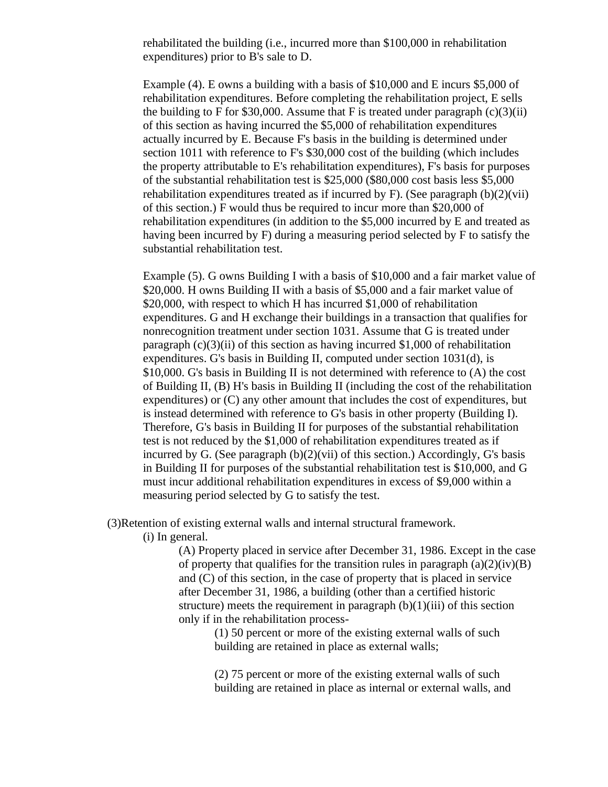rehabilitated the building (i.e., incurred more than \$100,000 in rehabilitation expenditures) prior to B's sale to D.

Example (4). E owns a building with a basis of \$10,000 and E incurs \$5,000 of rehabilitation expenditures. Before completing the rehabilitation project, E sells the building to F for \$30,000. Assume that F is treated under paragraph  $(c)(3)(ii)$ of this section as having incurred the \$5,000 of rehabilitation expenditures actually incurred by E. Because F's basis in the building is determined under section 1011 with reference to F's \$30,000 cost of the building (which includes the property attributable to E's rehabilitation expenditures), F's basis for purposes of the substantial rehabilitation test is \$25,000 (\$80,000 cost basis less \$5,000 rehabilitation expenditures treated as if incurred by F). (See paragraph  $(b)(2)(vi)$ ) of this section.) F would thus be required to incur more than \$20,000 of rehabilitation expenditures (in addition to the \$5,000 incurred by E and treated as having been incurred by F) during a measuring period selected by F to satisfy the substantial rehabilitation test.

Example (5). G owns Building I with a basis of \$10,000 and a fair market value of \$20,000. H owns Building II with a basis of \$5,000 and a fair market value of \$20,000, with respect to which H has incurred \$1,000 of rehabilitation expenditures. G and H exchange their buildings in a transaction that qualifies for nonrecognition treatment under section 1031. Assume that G is treated under paragraph  $(c)(3)(ii)$  of this section as having incurred \$1,000 of rehabilitation expenditures. G's basis in Building II, computed under section 1031(d), is \$10,000. G's basis in Building II is not determined with reference to (A) the cost of Building II, (B) H's basis in Building II (including the cost of the rehabilitation expenditures) or (C) any other amount that includes the cost of expenditures, but is instead determined with reference to G's basis in other property (Building I). Therefore, G's basis in Building II for purposes of the substantial rehabilitation test is not reduced by the \$1,000 of rehabilitation expenditures treated as if incurred by G. (See paragraph  $(b)(2)(vi)$  of this section.) Accordingly, G's basis in Building II for purposes of the substantial rehabilitation test is \$10,000, and G must incur additional rehabilitation expenditures in excess of \$9,000 within a measuring period selected by G to satisfy the test.

(3)Retention of existing external walls and internal structural framework.

(i) In general.

(A) Property placed in service after December 31, 1986. Except in the case of property that qualifies for the transition rules in paragraph  $(a)(2)(iv)(B)$ and (C) of this section, in the case of property that is placed in service after December 31, 1986, a building (other than a certified historic structure) meets the requirement in paragraph  $(b)(1)(iii)$  of this section only if in the rehabilitation process-

(1) 50 percent or more of the existing external walls of such building are retained in place as external walls;

(2) 75 percent or more of the existing external walls of such building are retained in place as internal or external walls, and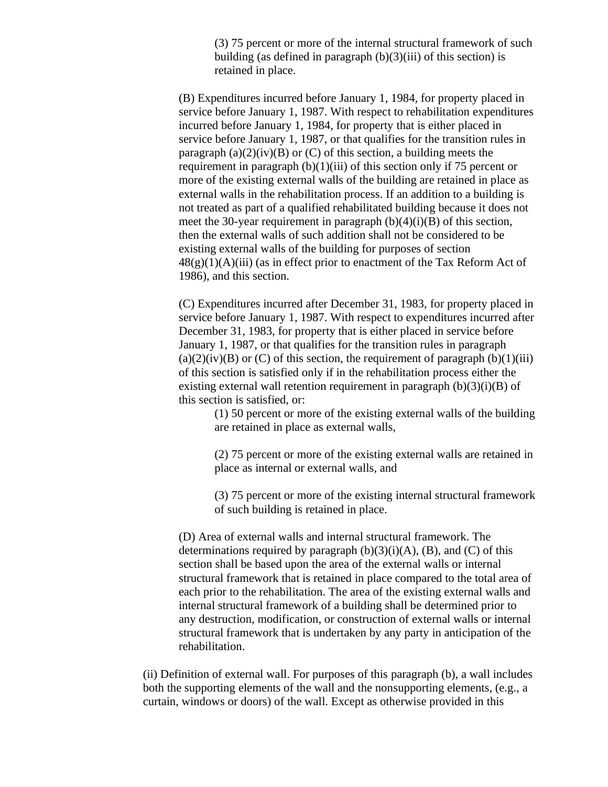(3) 75 percent or more of the internal structural framework of such building (as defined in paragraph  $(b)(3)(iii)$  of this section) is retained in place.

(B) Expenditures incurred before January 1, 1984, for property placed in service before January 1, 1987. With respect to rehabilitation expenditures incurred before January 1, 1984, for property that is either placed in service before January 1, 1987, or that qualifies for the transition rules in paragraph  $(a)(2)(iv)(B)$  or  $(C)$  of this section, a building meets the requirement in paragraph  $(b)(1)(iii)$  of this section only if 75 percent or more of the existing external walls of the building are retained in place as external walls in the rehabilitation process. If an addition to a building is not treated as part of a qualified rehabilitated building because it does not meet the 30-year requirement in paragraph  $(b)(4)(i)(B)$  of this section, then the external walls of such addition shall not be considered to be existing external walls of the building for purposes of section  $48(g)(1)(A)(iii)$  (as in effect prior to enactment of the Tax Reform Act of 1986), and this section.

(C) Expenditures incurred after December 31, 1983, for property placed in service before January 1, 1987. With respect to expenditures incurred after December 31, 1983, for property that is either placed in service before January 1, 1987, or that qualifies for the transition rules in paragraph  $(a)(2)(iv)(B)$  or  $(C)$  of this section, the requirement of paragraph  $(b)(1)(iii)$ of this section is satisfied only if in the rehabilitation process either the existing external wall retention requirement in paragraph  $(b)(3)(i)(B)$  of this section is satisfied, or:

(1) 50 percent or more of the existing external walls of the building are retained in place as external walls,

(2) 75 percent or more of the existing external walls are retained in place as internal or external walls, and

(3) 75 percent or more of the existing internal structural framework of such building is retained in place.

(D) Area of external walls and internal structural framework. The determinations required by paragraph  $(b)(3)(i)(A)$ ,  $(B)$ , and  $(C)$  of this section shall be based upon the area of the external walls or internal structural framework that is retained in place compared to the total area of each prior to the rehabilitation. The area of the existing external walls and internal structural framework of a building shall be determined prior to any destruction, modification, or construction of external walls or internal structural framework that is undertaken by any party in anticipation of the rehabilitation.

(ii) Definition of external wall. For purposes of this paragraph (b), a wall includes both the supporting elements of the wall and the nonsupporting elements, (e.g., a curtain, windows or doors) of the wall. Except as otherwise provided in this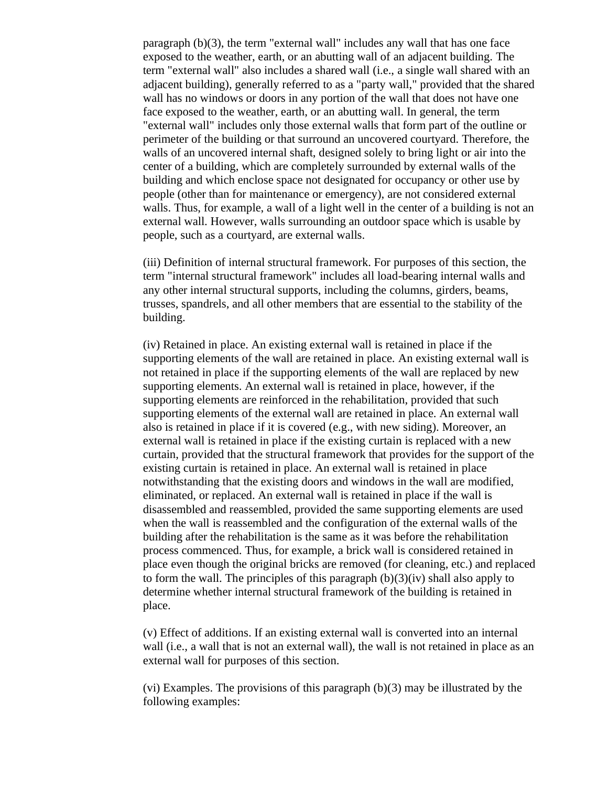paragraph (b)(3), the term "external wall" includes any wall that has one face exposed to the weather, earth, or an abutting wall of an adjacent building. The term "external wall" also includes a shared wall (i.e., a single wall shared with an adjacent building), generally referred to as a "party wall," provided that the shared wall has no windows or doors in any portion of the wall that does not have one face exposed to the weather, earth, or an abutting wall. In general, the term "external wall" includes only those external walls that form part of the outline or perimeter of the building or that surround an uncovered courtyard. Therefore, the walls of an uncovered internal shaft, designed solely to bring light or air into the center of a building, which are completely surrounded by external walls of the building and which enclose space not designated for occupancy or other use by people (other than for maintenance or emergency), are not considered external walls. Thus, for example, a wall of a light well in the center of a building is not an external wall. However, walls surrounding an outdoor space which is usable by people, such as a courtyard, are external walls.

(iii) Definition of internal structural framework. For purposes of this section, the term "internal structural framework" includes all load-bearing internal walls and any other internal structural supports, including the columns, girders, beams, trusses, spandrels, and all other members that are essential to the stability of the building.

(iv) Retained in place. An existing external wall is retained in place if the supporting elements of the wall are retained in place. An existing external wall is not retained in place if the supporting elements of the wall are replaced by new supporting elements. An external wall is retained in place, however, if the supporting elements are reinforced in the rehabilitation, provided that such supporting elements of the external wall are retained in place. An external wall also is retained in place if it is covered (e.g., with new siding). Moreover, an external wall is retained in place if the existing curtain is replaced with a new curtain, provided that the structural framework that provides for the support of the existing curtain is retained in place. An external wall is retained in place notwithstanding that the existing doors and windows in the wall are modified, eliminated, or replaced. An external wall is retained in place if the wall is disassembled and reassembled, provided the same supporting elements are used when the wall is reassembled and the configuration of the external walls of the building after the rehabilitation is the same as it was before the rehabilitation process commenced. Thus, for example, a brick wall is considered retained in place even though the original bricks are removed (for cleaning, etc.) and replaced to form the wall. The principles of this paragraph  $(b)(3)(iv)$  shall also apply to determine whether internal structural framework of the building is retained in place.

(v) Effect of additions. If an existing external wall is converted into an internal wall (i.e., a wall that is not an external wall), the wall is not retained in place as an external wall for purposes of this section.

(vi) Examples. The provisions of this paragraph (b)(3) may be illustrated by the following examples: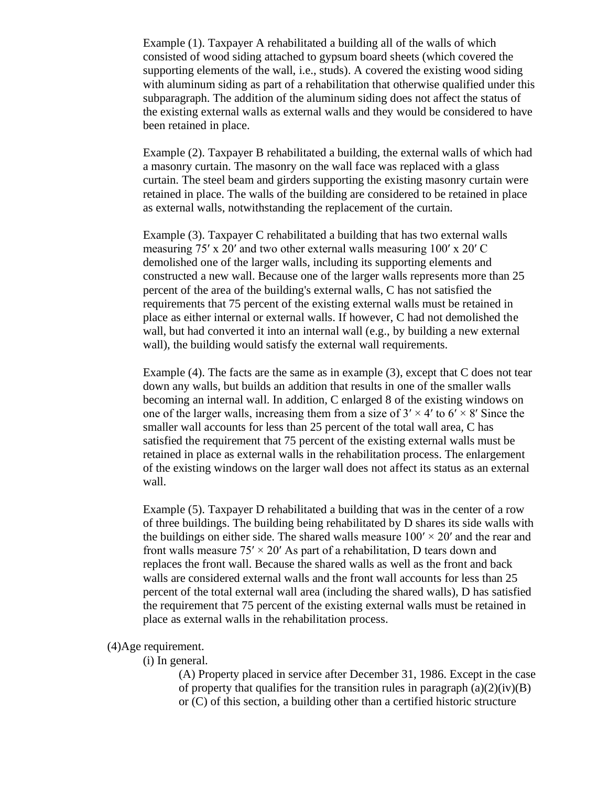Example (1). Taxpayer A rehabilitated a building all of the walls of which consisted of wood siding attached to gypsum board sheets (which covered the supporting elements of the wall, i.e., studs). A covered the existing wood siding with aluminum siding as part of a rehabilitation that otherwise qualified under this subparagraph. The addition of the aluminum siding does not affect the status of the existing external walls as external walls and they would be considered to have been retained in place.

Example (2). Taxpayer B rehabilitated a building, the external walls of which had a masonry curtain. The masonry on the wall face was replaced with a glass curtain. The steel beam and girders supporting the existing masonry curtain were retained in place. The walls of the building are considered to be retained in place as external walls, notwithstanding the replacement of the curtain.

Example (3). Taxpayer C rehabilitated a building that has two external walls measuring 75′ x 20′ and two other external walls measuring 100′ x 20′ C demolished one of the larger walls, including its supporting elements and constructed a new wall. Because one of the larger walls represents more than 25 percent of the area of the building's external walls, C has not satisfied the requirements that 75 percent of the existing external walls must be retained in place as either internal or external walls. If however, C had not demolished the wall, but had converted it into an internal wall (e.g., by building a new external wall), the building would satisfy the external wall requirements.

Example (4). The facts are the same as in example (3), except that C does not tear down any walls, but builds an addition that results in one of the smaller walls becoming an internal wall. In addition, C enlarged 8 of the existing windows on one of the larger walls, increasing them from a size of  $3' \times 4'$  to  $6' \times 8'$  Since the smaller wall accounts for less than 25 percent of the total wall area, C has satisfied the requirement that 75 percent of the existing external walls must be retained in place as external walls in the rehabilitation process. The enlargement of the existing windows on the larger wall does not affect its status as an external wall.

Example (5). Taxpayer D rehabilitated a building that was in the center of a row of three buildings. The building being rehabilitated by D shares its side walls with the buildings on either side. The shared walls measure  $100' \times 20'$  and the rear and front walls measure  $75' \times 20'$  As part of a rehabilitation, D tears down and replaces the front wall. Because the shared walls as well as the front and back walls are considered external walls and the front wall accounts for less than 25 percent of the total external wall area (including the shared walls), D has satisfied the requirement that 75 percent of the existing external walls must be retained in place as external walls in the rehabilitation process.

## (4)Age requirement.

### (i) In general.

(A) Property placed in service after December 31, 1986. Except in the case of property that qualifies for the transition rules in paragraph  $(a)(2)(iv)(B)$ or (C) of this section, a building other than a certified historic structure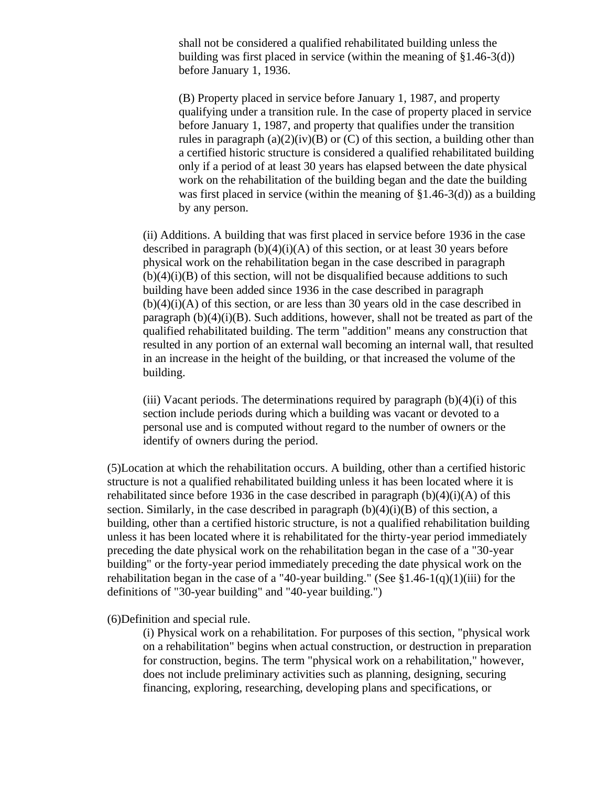shall not be considered a qualified rehabilitated building unless the building was first placed in service (within the meaning of §1.46-3(d)) before January 1, 1936.

(B) Property placed in service before January 1, 1987, and property qualifying under a transition rule. In the case of property placed in service before January 1, 1987, and property that qualifies under the transition rules in paragraph  $(a)(2)(iv)(B)$  or  $(C)$  of this section, a building other than a certified historic structure is considered a qualified rehabilitated building only if a period of at least 30 years has elapsed between the date physical work on the rehabilitation of the building began and the date the building was first placed in service (within the meaning of §1.46-3(d)) as a building by any person.

(ii) Additions. A building that was first placed in service before 1936 in the case described in paragraph  $(b)(4)(i)(A)$  of this section, or at least 30 years before physical work on the rehabilitation began in the case described in paragraph  $(b)(4)(i)(B)$  of this section, will not be disqualified because additions to such building have been added since 1936 in the case described in paragraph  $(b)(4)(i)(A)$  of this section, or are less than 30 years old in the case described in paragraph  $(b)(4)(i)(B)$ . Such additions, however, shall not be treated as part of the qualified rehabilitated building. The term "addition" means any construction that resulted in any portion of an external wall becoming an internal wall, that resulted in an increase in the height of the building, or that increased the volume of the building.

(iii) Vacant periods. The determinations required by paragraph  $(b)(4)(i)$  of this section include periods during which a building was vacant or devoted to a personal use and is computed without regard to the number of owners or the identify of owners during the period.

(5)Location at which the rehabilitation occurs. A building, other than a certified historic structure is not a qualified rehabilitated building unless it has been located where it is rehabilitated since before 1936 in the case described in paragraph  $(b)(4)(i)(A)$  of this section. Similarly, in the case described in paragraph  $(b)(4)(i)(B)$  of this section, a building, other than a certified historic structure, is not a qualified rehabilitation building unless it has been located where it is rehabilitated for the thirty-year period immediately preceding the date physical work on the rehabilitation began in the case of a "30-year building" or the forty-year period immediately preceding the date physical work on the rehabilitation began in the case of a "40-year building." (See  $$1.46-1(q)(1)(iii)$  for the definitions of "30-year building" and "40-year building.")

(6)Definition and special rule.

(i) Physical work on a rehabilitation. For purposes of this section, "physical work on a rehabilitation" begins when actual construction, or destruction in preparation for construction, begins. The term "physical work on a rehabilitation," however, does not include preliminary activities such as planning, designing, securing financing, exploring, researching, developing plans and specifications, or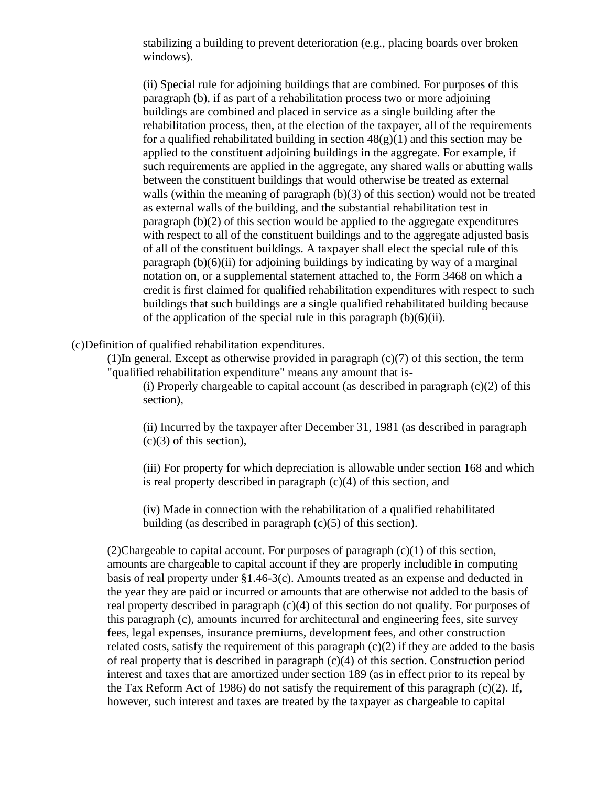stabilizing a building to prevent deterioration (e.g., placing boards over broken windows).

(ii) Special rule for adjoining buildings that are combined. For purposes of this paragraph (b), if as part of a rehabilitation process two or more adjoining buildings are combined and placed in service as a single building after the rehabilitation process, then, at the election of the taxpayer, all of the requirements for a qualified rehabilitated building in section  $48(g)(1)$  and this section may be applied to the constituent adjoining buildings in the aggregate. For example, if such requirements are applied in the aggregate, any shared walls or abutting walls between the constituent buildings that would otherwise be treated as external walls (within the meaning of paragraph (b)(3) of this section) would not be treated as external walls of the building, and the substantial rehabilitation test in paragraph (b)(2) of this section would be applied to the aggregate expenditures with respect to all of the constituent buildings and to the aggregate adjusted basis of all of the constituent buildings. A taxpayer shall elect the special rule of this paragraph  $(b)(6)(ii)$  for adjoining buildings by indicating by way of a marginal notation on, or a supplemental statement attached to, the Form 3468 on which a credit is first claimed for qualified rehabilitation expenditures with respect to such buildings that such buildings are a single qualified rehabilitated building because of the application of the special rule in this paragraph  $(b)(6)(ii)$ .

## (c)Definition of qualified rehabilitation expenditures.

(1)In general. Except as otherwise provided in paragraph (c)(7) of this section, the term "qualified rehabilitation expenditure" means any amount that is-

(i) Properly chargeable to capital account (as described in paragraph  $(c)(2)$  of this section),

(ii) Incurred by the taxpayer after December 31, 1981 (as described in paragraph  $(c)(3)$  of this section),

(iii) For property for which depreciation is allowable under section 168 and which is real property described in paragraph (c)(4) of this section, and

(iv) Made in connection with the rehabilitation of a qualified rehabilitated building (as described in paragraph  $(c)(5)$  of this section).

(2)Chargeable to capital account. For purposes of paragraph  $(c)(1)$  of this section, amounts are chargeable to capital account if they are properly includible in computing basis of real property under §1.46-3(c). Amounts treated as an expense and deducted in the year they are paid or incurred or amounts that are otherwise not added to the basis of real property described in paragraph (c)(4) of this section do not qualify. For purposes of this paragraph (c), amounts incurred for architectural and engineering fees, site survey fees, legal expenses, insurance premiums, development fees, and other construction related costs, satisfy the requirement of this paragraph  $(c)(2)$  if they are added to the basis of real property that is described in paragraph (c)(4) of this section. Construction period interest and taxes that are amortized under section 189 (as in effect prior to its repeal by the Tax Reform Act of 1986) do not satisfy the requirement of this paragraph (c)(2). If, however, such interest and taxes are treated by the taxpayer as chargeable to capital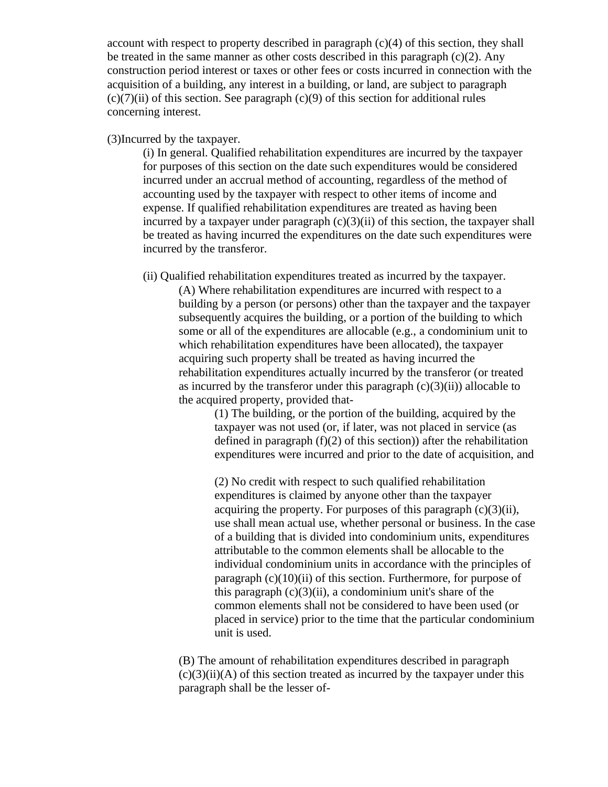account with respect to property described in paragraph (c)(4) of this section, they shall be treated in the same manner as other costs described in this paragraph  $(c)(2)$ . Any construction period interest or taxes or other fees or costs incurred in connection with the acquisition of a building, any interest in a building, or land, are subject to paragraph  $(c)(7)(ii)$  of this section. See paragraph  $(c)(9)$  of this section for additional rules concerning interest.

(3)Incurred by the taxpayer.

(i) In general. Qualified rehabilitation expenditures are incurred by the taxpayer for purposes of this section on the date such expenditures would be considered incurred under an accrual method of accounting, regardless of the method of accounting used by the taxpayer with respect to other items of income and expense. If qualified rehabilitation expenditures are treated as having been incurred by a taxpayer under paragraph  $(c)(3)(ii)$  of this section, the taxpayer shall be treated as having incurred the expenditures on the date such expenditures were incurred by the transferor.

(ii) Qualified rehabilitation expenditures treated as incurred by the taxpayer. (A) Where rehabilitation expenditures are incurred with respect to a building by a person (or persons) other than the taxpayer and the taxpayer subsequently acquires the building, or a portion of the building to which some or all of the expenditures are allocable (e.g., a condominium unit to which rehabilitation expenditures have been allocated), the taxpayer acquiring such property shall be treated as having incurred the rehabilitation expenditures actually incurred by the transferor (or treated as incurred by the transferor under this paragraph  $(c)(3)(ii)$ ) allocable to the acquired property, provided that-

> (1) The building, or the portion of the building, acquired by the taxpayer was not used (or, if later, was not placed in service (as defined in paragraph  $(f)(2)$  of this section)) after the rehabilitation expenditures were incurred and prior to the date of acquisition, and

> (2) No credit with respect to such qualified rehabilitation expenditures is claimed by anyone other than the taxpayer acquiring the property. For purposes of this paragraph  $(c)(3)(ii)$ , use shall mean actual use, whether personal or business. In the case of a building that is divided into condominium units, expenditures attributable to the common elements shall be allocable to the individual condominium units in accordance with the principles of paragraph  $(c)(10)(ii)$  of this section. Furthermore, for purpose of this paragraph  $(c)(3)(ii)$ , a condominium unit's share of the common elements shall not be considered to have been used (or placed in service) prior to the time that the particular condominium unit is used.

(B) The amount of rehabilitation expenditures described in paragraph  $(c)(3)(ii)(A)$  of this section treated as incurred by the taxpayer under this paragraph shall be the lesser of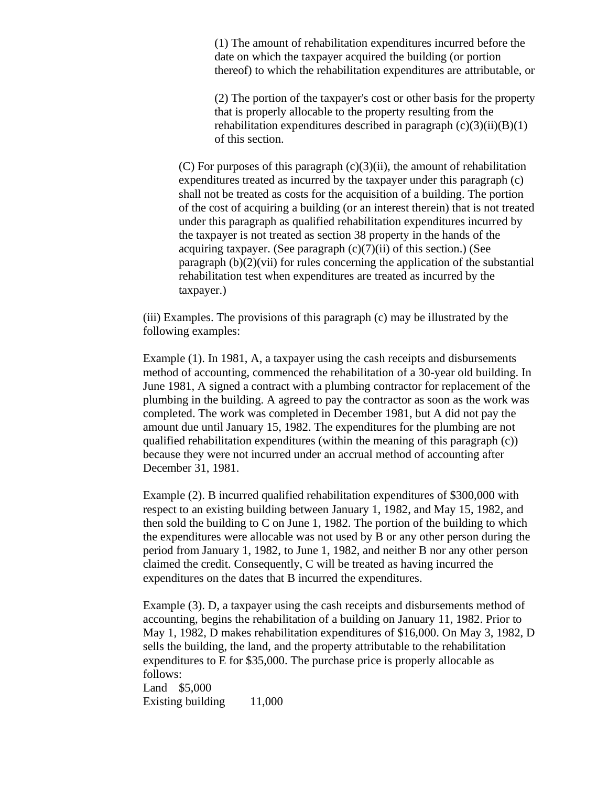(1) The amount of rehabilitation expenditures incurred before the date on which the taxpayer acquired the building (or portion thereof) to which the rehabilitation expenditures are attributable, or

(2) The portion of the taxpayer's cost or other basis for the property that is properly allocable to the property resulting from the rehabilitation expenditures described in paragraph  $(c)(3)(ii)(B)(1)$ of this section.

(C) For purposes of this paragraph  $(c)(3)(ii)$ , the amount of rehabilitation expenditures treated as incurred by the taxpayer under this paragraph (c) shall not be treated as costs for the acquisition of a building. The portion of the cost of acquiring a building (or an interest therein) that is not treated under this paragraph as qualified rehabilitation expenditures incurred by the taxpayer is not treated as section 38 property in the hands of the acquiring taxpayer. (See paragraph  $(c)(7)(ii)$  of this section.) (See paragraph  $(b)(2)(vi)$  for rules concerning the application of the substantial rehabilitation test when expenditures are treated as incurred by the taxpayer.)

(iii) Examples. The provisions of this paragraph (c) may be illustrated by the following examples:

Example (1). In 1981, A, a taxpayer using the cash receipts and disbursements method of accounting, commenced the rehabilitation of a 30-year old building. In June 1981, A signed a contract with a plumbing contractor for replacement of the plumbing in the building. A agreed to pay the contractor as soon as the work was completed. The work was completed in December 1981, but A did not pay the amount due until January 15, 1982. The expenditures for the plumbing are not qualified rehabilitation expenditures (within the meaning of this paragraph (c)) because they were not incurred under an accrual method of accounting after December 31, 1981.

Example (2). B incurred qualified rehabilitation expenditures of \$300,000 with respect to an existing building between January 1, 1982, and May 15, 1982, and then sold the building to C on June 1, 1982. The portion of the building to which the expenditures were allocable was not used by B or any other person during the period from January 1, 1982, to June 1, 1982, and neither B nor any other person claimed the credit. Consequently, C will be treated as having incurred the expenditures on the dates that B incurred the expenditures.

Example (3). D, a taxpayer using the cash receipts and disbursements method of accounting, begins the rehabilitation of a building on January 11, 1982. Prior to May 1, 1982, D makes rehabilitation expenditures of \$16,000. On May 3, 1982, D sells the building, the land, and the property attributable to the rehabilitation expenditures to E for \$35,000. The purchase price is properly allocable as follows: Land \$5,000 Existing building 11,000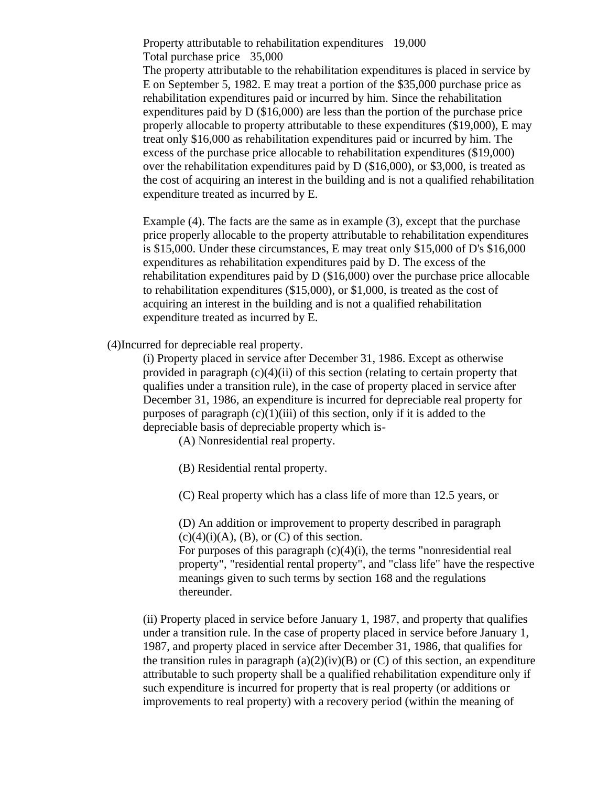Property attributable to rehabilitation expenditures 19,000 Total purchase price 35,000

The property attributable to the rehabilitation expenditures is placed in service by E on September 5, 1982. E may treat a portion of the \$35,000 purchase price as rehabilitation expenditures paid or incurred by him. Since the rehabilitation expenditures paid by D (\$16,000) are less than the portion of the purchase price properly allocable to property attributable to these expenditures (\$19,000), E may treat only \$16,000 as rehabilitation expenditures paid or incurred by him. The excess of the purchase price allocable to rehabilitation expenditures (\$19,000) over the rehabilitation expenditures paid by D (\$16,000), or \$3,000, is treated as the cost of acquiring an interest in the building and is not a qualified rehabilitation expenditure treated as incurred by E.

Example (4). The facts are the same as in example (3), except that the purchase price properly allocable to the property attributable to rehabilitation expenditures is \$15,000. Under these circumstances, E may treat only \$15,000 of D's \$16,000 expenditures as rehabilitation expenditures paid by D. The excess of the rehabilitation expenditures paid by D (\$16,000) over the purchase price allocable to rehabilitation expenditures (\$15,000), or \$1,000, is treated as the cost of acquiring an interest in the building and is not a qualified rehabilitation expenditure treated as incurred by E.

(4)Incurred for depreciable real property.

(i) Property placed in service after December 31, 1986. Except as otherwise provided in paragraph (c)(4)(ii) of this section (relating to certain property that qualifies under a transition rule), in the case of property placed in service after December 31, 1986, an expenditure is incurred for depreciable real property for purposes of paragraph  $(c)(1)(iii)$  of this section, only if it is added to the depreciable basis of depreciable property which is-

(A) Nonresidential real property.

(B) Residential rental property.

(C) Real property which has a class life of more than 12.5 years, or

(D) An addition or improvement to property described in paragraph  $(c)(4)(i)(A)$ ,  $(B)$ , or  $(C)$  of this section.

For purposes of this paragraph  $(c)(4)(i)$ , the terms "nonresidential real property", "residential rental property", and "class life" have the respective meanings given to such terms by section 168 and the regulations thereunder.

(ii) Property placed in service before January 1, 1987, and property that qualifies under a transition rule. In the case of property placed in service before January 1, 1987, and property placed in service after December 31, 1986, that qualifies for the transition rules in paragraph  $(a)(2)(iv)(B)$  or  $(C)$  of this section, an expenditure attributable to such property shall be a qualified rehabilitation expenditure only if such expenditure is incurred for property that is real property (or additions or improvements to real property) with a recovery period (within the meaning of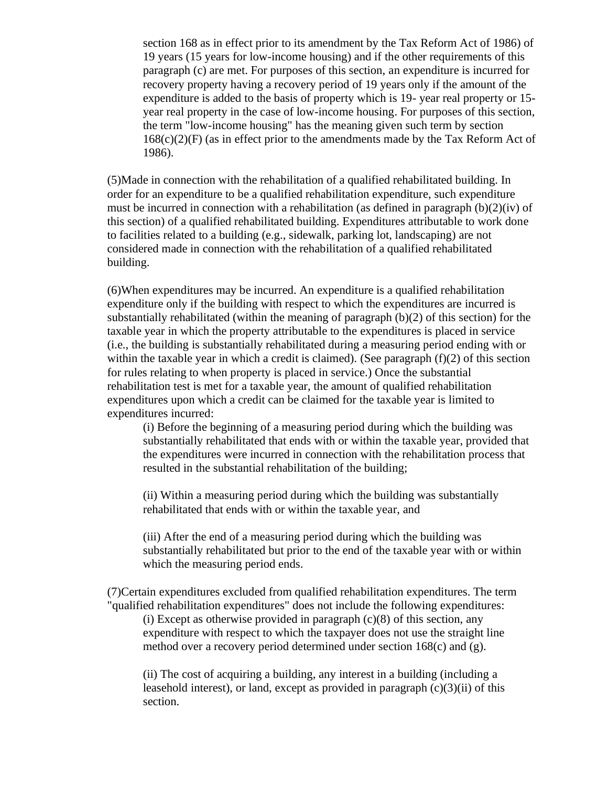section 168 as in effect prior to its amendment by the Tax Reform Act of 1986) of 19 years (15 years for low-income housing) and if the other requirements of this paragraph (c) are met. For purposes of this section, an expenditure is incurred for recovery property having a recovery period of 19 years only if the amount of the expenditure is added to the basis of property which is 19- year real property or 15 year real property in the case of low-income housing. For purposes of this section, the term "low-income housing" has the meaning given such term by section  $168(c)(2)(F)$  (as in effect prior to the amendments made by the Tax Reform Act of 1986).

(5)Made in connection with the rehabilitation of a qualified rehabilitated building. In order for an expenditure to be a qualified rehabilitation expenditure, such expenditure must be incurred in connection with a rehabilitation (as defined in paragraph (b)(2)(iv) of this section) of a qualified rehabilitated building. Expenditures attributable to work done to facilities related to a building (e.g., sidewalk, parking lot, landscaping) are not considered made in connection with the rehabilitation of a qualified rehabilitated building.

(6)When expenditures may be incurred. An expenditure is a qualified rehabilitation expenditure only if the building with respect to which the expenditures are incurred is substantially rehabilitated (within the meaning of paragraph (b)(2) of this section) for the taxable year in which the property attributable to the expenditures is placed in service (i.e., the building is substantially rehabilitated during a measuring period ending with or within the taxable year in which a credit is claimed). (See paragraph  $(f)(2)$  of this section for rules relating to when property is placed in service.) Once the substantial rehabilitation test is met for a taxable year, the amount of qualified rehabilitation expenditures upon which a credit can be claimed for the taxable year is limited to expenditures incurred:

(i) Before the beginning of a measuring period during which the building was substantially rehabilitated that ends with or within the taxable year, provided that the expenditures were incurred in connection with the rehabilitation process that resulted in the substantial rehabilitation of the building;

(ii) Within a measuring period during which the building was substantially rehabilitated that ends with or within the taxable year, and

(iii) After the end of a measuring period during which the building was substantially rehabilitated but prior to the end of the taxable year with or within which the measuring period ends.

(7)Certain expenditures excluded from qualified rehabilitation expenditures. The term "qualified rehabilitation expenditures" does not include the following expenditures:

(i) Except as otherwise provided in paragraph  $(c)(8)$  of this section, any expenditure with respect to which the taxpayer does not use the straight line method over a recovery period determined under section 168(c) and (g).

(ii) The cost of acquiring a building, any interest in a building (including a leasehold interest), or land, except as provided in paragraph  $(c)(3)(ii)$  of this section.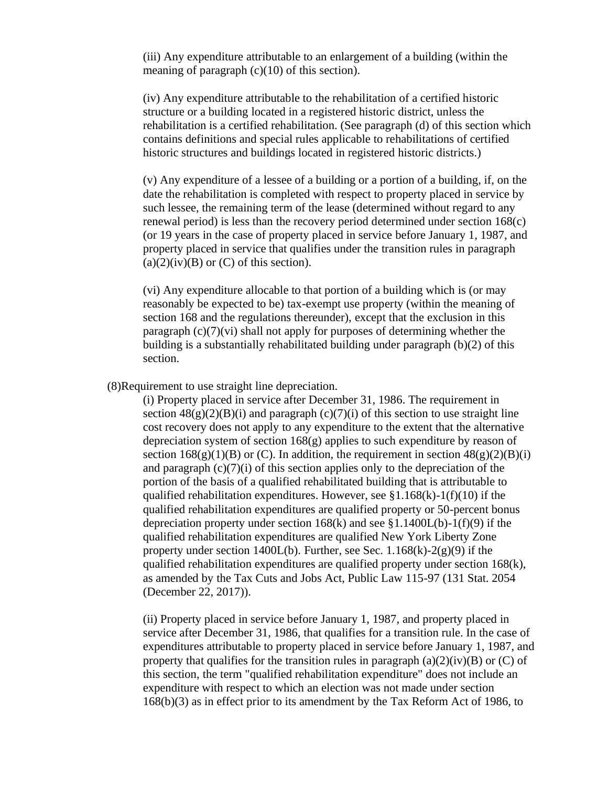(iii) Any expenditure attributable to an enlargement of a building (within the meaning of paragraph (c)(10) of this section).

(iv) Any expenditure attributable to the rehabilitation of a certified historic structure or a building located in a registered historic district, unless the rehabilitation is a certified rehabilitation. (See paragraph (d) of this section which contains definitions and special rules applicable to rehabilitations of certified historic structures and buildings located in registered historic districts.)

(v) Any expenditure of a lessee of a building or a portion of a building, if, on the date the rehabilitation is completed with respect to property placed in service by such lessee, the remaining term of the lease (determined without regard to any renewal period) is less than the recovery period determined under section 168(c) (or 19 years in the case of property placed in service before January 1, 1987, and property placed in service that qualifies under the transition rules in paragraph  $(a)(2)(iv)(B)$  or  $(C)$  of this section).

(vi) Any expenditure allocable to that portion of a building which is (or may reasonably be expected to be) tax-exempt use property (within the meaning of section 168 and the regulations thereunder), except that the exclusion in this paragraph  $(c)(7)(vi)$  shall not apply for purposes of determining whether the building is a substantially rehabilitated building under paragraph (b)(2) of this section.

(8)Requirement to use straight line depreciation.

(i) Property placed in service after December 31, 1986. The requirement in section  $48(g)(2)(B)(i)$  and paragraph (c)(7)(i) of this section to use straight line cost recovery does not apply to any expenditure to the extent that the alternative depreciation system of section  $168(g)$  applies to such expenditure by reason of section  $168(g)(1)(B)$  or (C). In addition, the requirement in section  $48(g)(2)(B)(i)$ and paragraph  $(c)(7)(i)$  of this section applies only to the depreciation of the portion of the basis of a qualified rehabilitated building that is attributable to qualified rehabilitation expenditures. However, see  $\S1.168(k)-1(f)(10)$  if the qualified rehabilitation expenditures are qualified property or 50-percent bonus depreciation property under section  $168(k)$  and see §1.1400L(b)-1(f)(9) if the qualified rehabilitation expenditures are qualified New York Liberty Zone property under section 1400L(b). Further, see Sec.  $1.168(k)-2(g)(9)$  if the qualified rehabilitation expenditures are qualified property under section 168(k), as amended by the Tax Cuts and Jobs Act, Public Law 115-97 (131 Stat. 2054 (December 22, 2017)).

(ii) Property placed in service before January 1, 1987, and property placed in service after December 31, 1986, that qualifies for a transition rule. In the case of expenditures attributable to property placed in service before January 1, 1987, and property that qualifies for the transition rules in paragraph  $(a)(2)(iv)(B)$  or  $(C)$  of this section, the term "qualified rehabilitation expenditure" does not include an expenditure with respect to which an election was not made under section 168(b)(3) as in effect prior to its amendment by the Tax Reform Act of 1986, to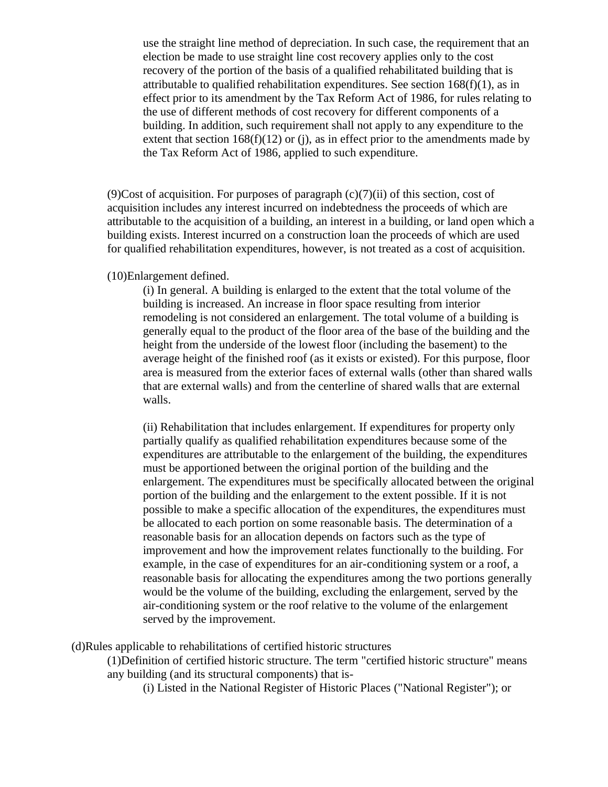use the straight line method of depreciation. In such case, the requirement that an election be made to use straight line cost recovery applies only to the cost recovery of the portion of the basis of a qualified rehabilitated building that is attributable to qualified rehabilitation expenditures. See section  $168(f)(1)$ , as in effect prior to its amendment by the Tax Reform Act of 1986, for rules relating to the use of different methods of cost recovery for different components of a building. In addition, such requirement shall not apply to any expenditure to the extent that section  $168(f)(12)$  or (j), as in effect prior to the amendments made by the Tax Reform Act of 1986, applied to such expenditure.

(9)Cost of acquisition. For purposes of paragraph  $(c)(7)(ii)$  of this section, cost of acquisition includes any interest incurred on indebtedness the proceeds of which are attributable to the acquisition of a building, an interest in a building, or land open which a building exists. Interest incurred on a construction loan the proceeds of which are used for qualified rehabilitation expenditures, however, is not treated as a cost of acquisition.

### (10)Enlargement defined.

(i) In general. A building is enlarged to the extent that the total volume of the building is increased. An increase in floor space resulting from interior remodeling is not considered an enlargement. The total volume of a building is generally equal to the product of the floor area of the base of the building and the height from the underside of the lowest floor (including the basement) to the average height of the finished roof (as it exists or existed). For this purpose, floor area is measured from the exterior faces of external walls (other than shared walls that are external walls) and from the centerline of shared walls that are external walls.

(ii) Rehabilitation that includes enlargement. If expenditures for property only partially qualify as qualified rehabilitation expenditures because some of the expenditures are attributable to the enlargement of the building, the expenditures must be apportioned between the original portion of the building and the enlargement. The expenditures must be specifically allocated between the original portion of the building and the enlargement to the extent possible. If it is not possible to make a specific allocation of the expenditures, the expenditures must be allocated to each portion on some reasonable basis. The determination of a reasonable basis for an allocation depends on factors such as the type of improvement and how the improvement relates functionally to the building. For example, in the case of expenditures for an air-conditioning system or a roof, a reasonable basis for allocating the expenditures among the two portions generally would be the volume of the building, excluding the enlargement, served by the air-conditioning system or the roof relative to the volume of the enlargement served by the improvement.

(d)Rules applicable to rehabilitations of certified historic structures

(1)Definition of certified historic structure. The term "certified historic structure" means any building (and its structural components) that is-

(i) Listed in the National Register of Historic Places ("National Register"); or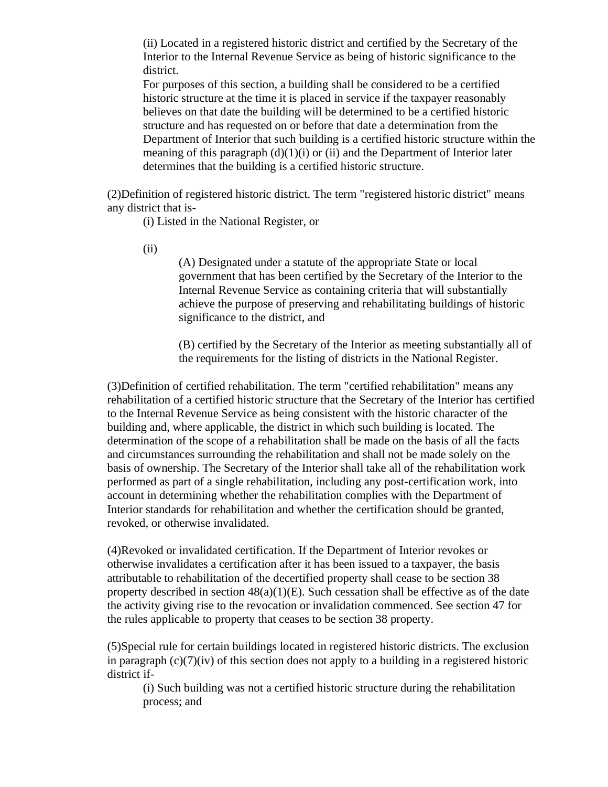(ii) Located in a registered historic district and certified by the Secretary of the Interior to the Internal Revenue Service as being of historic significance to the district.

For purposes of this section, a building shall be considered to be a certified historic structure at the time it is placed in service if the taxpayer reasonably believes on that date the building will be determined to be a certified historic structure and has requested on or before that date a determination from the Department of Interior that such building is a certified historic structure within the meaning of this paragraph  $(d)(1)(i)$  or  $(ii)$  and the Department of Interior later determines that the building is a certified historic structure.

(2)Definition of registered historic district. The term "registered historic district" means any district that is-

(i) Listed in the National Register, or

(ii)

(A) Designated under a statute of the appropriate State or local government that has been certified by the Secretary of the Interior to the Internal Revenue Service as containing criteria that will substantially achieve the purpose of preserving and rehabilitating buildings of historic significance to the district, and

(B) certified by the Secretary of the Interior as meeting substantially all of the requirements for the listing of districts in the National Register.

(3)Definition of certified rehabilitation. The term "certified rehabilitation" means any rehabilitation of a certified historic structure that the Secretary of the Interior has certified to the Internal Revenue Service as being consistent with the historic character of the building and, where applicable, the district in which such building is located. The determination of the scope of a rehabilitation shall be made on the basis of all the facts and circumstances surrounding the rehabilitation and shall not be made solely on the basis of ownership. The Secretary of the Interior shall take all of the rehabilitation work performed as part of a single rehabilitation, including any post-certification work, into account in determining whether the rehabilitation complies with the Department of Interior standards for rehabilitation and whether the certification should be granted, revoked, or otherwise invalidated.

(4)Revoked or invalidated certification. If the Department of Interior revokes or otherwise invalidates a certification after it has been issued to a taxpayer, the basis attributable to rehabilitation of the decertified property shall cease to be section 38 property described in section  $48(a)(1)(E)$ . Such cessation shall be effective as of the date the activity giving rise to the revocation or invalidation commenced. See section 47 for the rules applicable to property that ceases to be section 38 property.

(5)Special rule for certain buildings located in registered historic districts. The exclusion in paragraph  $(c)(7)(iv)$  of this section does not apply to a building in a registered historic district if-

(i) Such building was not a certified historic structure during the rehabilitation process; and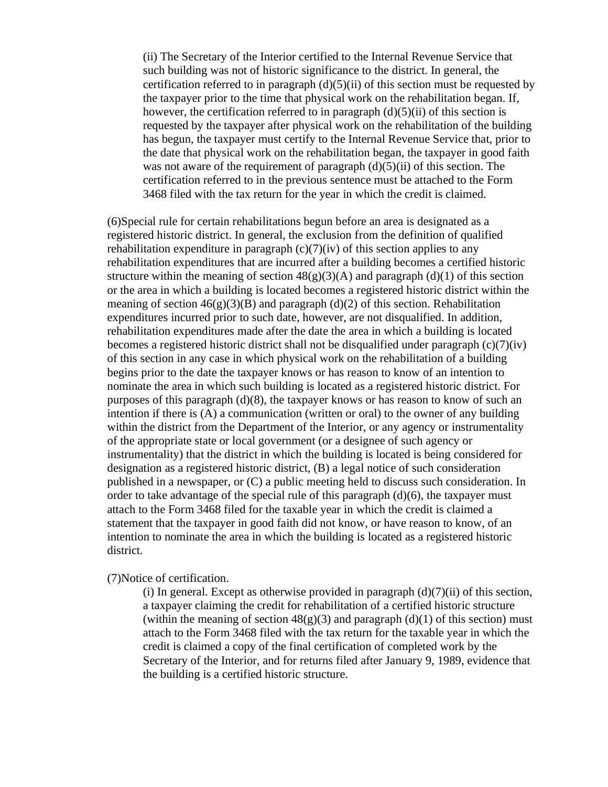(ii) The Secretary of the Interior certified to the Internal Revenue Service that such building was not of historic significance to the district. In general, the certification referred to in paragraph  $(d)(5)(ii)$  of this section must be requested by the taxpayer prior to the time that physical work on the rehabilitation began. If, however, the certification referred to in paragraph  $(d)(5)(ii)$  of this section is requested by the taxpayer after physical work on the rehabilitation of the building has begun, the taxpayer must certify to the Internal Revenue Service that, prior to the date that physical work on the rehabilitation began, the taxpayer in good faith was not aware of the requirement of paragraph  $(d)(5)(ii)$  of this section. The certification referred to in the previous sentence must be attached to the Form 3468 filed with the tax return for the year in which the credit is claimed.

(6)Special rule for certain rehabilitations begun before an area is designated as a registered historic district. In general, the exclusion from the definition of qualified rehabilitation expenditure in paragraph  $(c)(7)(iv)$  of this section applies to any rehabilitation expenditures that are incurred after a building becomes a certified historic structure within the meaning of section  $48(g)(3)(A)$  and paragraph (d)(1) of this section or the area in which a building is located becomes a registered historic district within the meaning of section  $46(g)(3)(B)$  and paragraph (d)(2) of this section. Rehabilitation expenditures incurred prior to such date, however, are not disqualified. In addition, rehabilitation expenditures made after the date the area in which a building is located becomes a registered historic district shall not be disqualified under paragraph  $(c)(7)(iv)$ of this section in any case in which physical work on the rehabilitation of a building begins prior to the date the taxpayer knows or has reason to know of an intention to nominate the area in which such building is located as a registered historic district. For purposes of this paragraph  $(d)(8)$ , the taxpayer knows or has reason to know of such an intention if there is (A) a communication (written or oral) to the owner of any building within the district from the Department of the Interior, or any agency or instrumentality of the appropriate state or local government (or a designee of such agency or instrumentality) that the district in which the building is located is being considered for designation as a registered historic district, (B) a legal notice of such consideration published in a newspaper, or (C) a public meeting held to discuss such consideration. In order to take advantage of the special rule of this paragraph (d)(6), the taxpayer must attach to the Form 3468 filed for the taxable year in which the credit is claimed a statement that the taxpayer in good faith did not know, or have reason to know, of an intention to nominate the area in which the building is located as a registered historic district.

(7)Notice of certification.

(i) In general. Except as otherwise provided in paragraph  $(d)(7)(ii)$  of this section, a taxpayer claiming the credit for rehabilitation of a certified historic structure (within the meaning of section  $48(g)(3)$  and paragraph (d)(1) of this section) must attach to the Form 3468 filed with the tax return for the taxable year in which the credit is claimed a copy of the final certification of completed work by the Secretary of the Interior, and for returns filed after January 9, 1989, evidence that the building is a certified historic structure.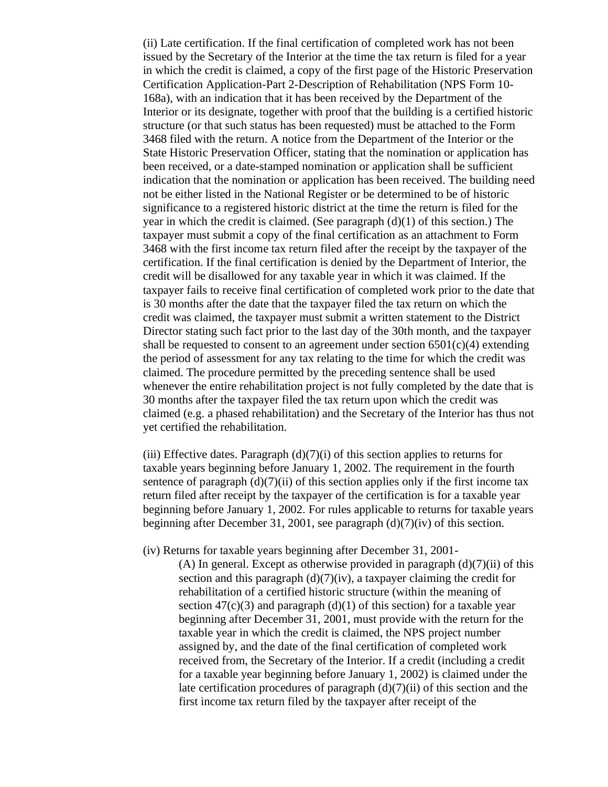(ii) Late certification. If the final certification of completed work has not been issued by the Secretary of the Interior at the time the tax return is filed for a year in which the credit is claimed, a copy of the first page of the Historic Preservation Certification Application-Part 2-Description of Rehabilitation (NPS Form 10- 168a), with an indication that it has been received by the Department of the Interior or its designate, together with proof that the building is a certified historic structure (or that such status has been requested) must be attached to the Form 3468 filed with the return. A notice from the Department of the Interior or the State Historic Preservation Officer, stating that the nomination or application has been received, or a date-stamped nomination or application shall be sufficient indication that the nomination or application has been received. The building need not be either listed in the National Register or be determined to be of historic significance to a registered historic district at the time the return is filed for the year in which the credit is claimed. (See paragraph  $(d)(1)$  of this section.) The taxpayer must submit a copy of the final certification as an attachment to Form 3468 with the first income tax return filed after the receipt by the taxpayer of the certification. If the final certification is denied by the Department of Interior, the credit will be disallowed for any taxable year in which it was claimed. If the taxpayer fails to receive final certification of completed work prior to the date that is 30 months after the date that the taxpayer filed the tax return on which the credit was claimed, the taxpayer must submit a written statement to the District Director stating such fact prior to the last day of the 30th month, and the taxpayer shall be requested to consent to an agreement under section  $6501(c)(4)$  extending the period of assessment for any tax relating to the time for which the credit was claimed. The procedure permitted by the preceding sentence shall be used whenever the entire rehabilitation project is not fully completed by the date that is 30 months after the taxpayer filed the tax return upon which the credit was claimed (e.g. a phased rehabilitation) and the Secretary of the Interior has thus not yet certified the rehabilitation.

(iii) Effective dates. Paragraph  $(d)(7)(i)$  of this section applies to returns for taxable years beginning before January 1, 2002. The requirement in the fourth sentence of paragraph  $(d)(7)(ii)$  of this section applies only if the first income tax return filed after receipt by the taxpayer of the certification is for a taxable year beginning before January 1, 2002. For rules applicable to returns for taxable years beginning after December 31, 2001, see paragraph (d)(7)(iv) of this section.

(iv) Returns for taxable years beginning after December 31, 2001-

(A) In general. Except as otherwise provided in paragraph  $(d)(7)(ii)$  of this section and this paragraph  $(d)(7)(iv)$ , a taxpayer claiming the credit for rehabilitation of a certified historic structure (within the meaning of section  $47(c)(3)$  and paragraph (d)(1) of this section) for a taxable year beginning after December 31, 2001, must provide with the return for the taxable year in which the credit is claimed, the NPS project number assigned by, and the date of the final certification of completed work received from, the Secretary of the Interior. If a credit (including a credit for a taxable year beginning before January 1, 2002) is claimed under the late certification procedures of paragraph  $(d)(7)(ii)$  of this section and the first income tax return filed by the taxpayer after receipt of the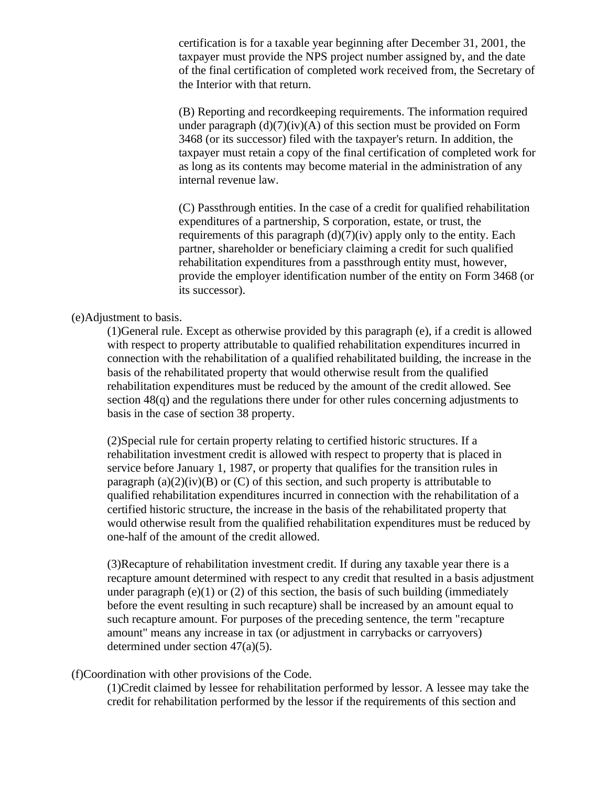certification is for a taxable year beginning after December 31, 2001, the taxpayer must provide the NPS project number assigned by, and the date of the final certification of completed work received from, the Secretary of the Interior with that return.

(B) Reporting and recordkeeping requirements. The information required under paragraph  $(d)(7)(iv)(A)$  of this section must be provided on Form 3468 (or its successor) filed with the taxpayer's return. In addition, the taxpayer must retain a copy of the final certification of completed work for as long as its contents may become material in the administration of any internal revenue law.

(C) Passthrough entities. In the case of a credit for qualified rehabilitation expenditures of a partnership, S corporation, estate, or trust, the requirements of this paragraph  $(d)(7)(iv)$  apply only to the entity. Each partner, shareholder or beneficiary claiming a credit for such qualified rehabilitation expenditures from a passthrough entity must, however, provide the employer identification number of the entity on Form 3468 (or its successor).

## (e)Adjustment to basis.

(1)General rule. Except as otherwise provided by this paragraph (e), if a credit is allowed with respect to property attributable to qualified rehabilitation expenditures incurred in connection with the rehabilitation of a qualified rehabilitated building, the increase in the basis of the rehabilitated property that would otherwise result from the qualified rehabilitation expenditures must be reduced by the amount of the credit allowed. See section 48(q) and the regulations there under for other rules concerning adjustments to basis in the case of section 38 property.

(2)Special rule for certain property relating to certified historic structures. If a rehabilitation investment credit is allowed with respect to property that is placed in service before January 1, 1987, or property that qualifies for the transition rules in paragraph (a)(2)(iv)(B) or (C) of this section, and such property is attributable to qualified rehabilitation expenditures incurred in connection with the rehabilitation of a certified historic structure, the increase in the basis of the rehabilitated property that would otherwise result from the qualified rehabilitation expenditures must be reduced by one-half of the amount of the credit allowed.

(3)Recapture of rehabilitation investment credit. If during any taxable year there is a recapture amount determined with respect to any credit that resulted in a basis adjustment under paragraph  $(e)(1)$  or  $(2)$  of this section, the basis of such building (immediately before the event resulting in such recapture) shall be increased by an amount equal to such recapture amount. For purposes of the preceding sentence, the term "recapture amount" means any increase in tax (or adjustment in carrybacks or carryovers) determined under section 47(a)(5).

## (f)Coordination with other provisions of the Code.

(1)Credit claimed by lessee for rehabilitation performed by lessor. A lessee may take the credit for rehabilitation performed by the lessor if the requirements of this section and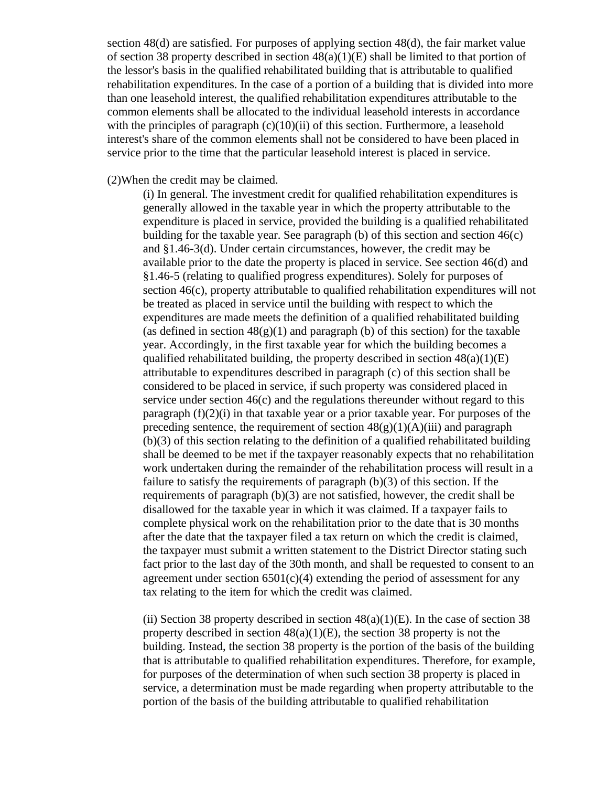section 48(d) are satisfied. For purposes of applying section 48(d), the fair market value of section 38 property described in section  $48(a)(1)(E)$  shall be limited to that portion of the lessor's basis in the qualified rehabilitated building that is attributable to qualified rehabilitation expenditures. In the case of a portion of a building that is divided into more than one leasehold interest, the qualified rehabilitation expenditures attributable to the common elements shall be allocated to the individual leasehold interests in accordance with the principles of paragraph  $(c)(10)(ii)$  of this section. Furthermore, a leasehold interest's share of the common elements shall not be considered to have been placed in service prior to the time that the particular leasehold interest is placed in service.

(2)When the credit may be claimed.

(i) In general. The investment credit for qualified rehabilitation expenditures is generally allowed in the taxable year in which the property attributable to the expenditure is placed in service, provided the building is a qualified rehabilitated building for the taxable year. See paragraph (b) of this section and section 46(c) and §1.46-3(d). Under certain circumstances, however, the credit may be available prior to the date the property is placed in service. See section 46(d) and §1.46-5 (relating to qualified progress expenditures). Solely for purposes of section 46(c), property attributable to qualified rehabilitation expenditures will not be treated as placed in service until the building with respect to which the expenditures are made meets the definition of a qualified rehabilitated building (as defined in section  $48(g)(1)$  and paragraph (b) of this section) for the taxable year. Accordingly, in the first taxable year for which the building becomes a qualified rehabilitated building, the property described in section  $48(a)(1)(E)$ attributable to expenditures described in paragraph (c) of this section shall be considered to be placed in service, if such property was considered placed in service under section  $46(c)$  and the regulations thereunder without regard to this paragraph  $(f)(2)(i)$  in that taxable year or a prior taxable year. For purposes of the preceding sentence, the requirement of section  $48(g)(1)(A)(iii)$  and paragraph (b)(3) of this section relating to the definition of a qualified rehabilitated building shall be deemed to be met if the taxpayer reasonably expects that no rehabilitation work undertaken during the remainder of the rehabilitation process will result in a failure to satisfy the requirements of paragraph (b)(3) of this section. If the requirements of paragraph (b)(3) are not satisfied, however, the credit shall be disallowed for the taxable year in which it was claimed. If a taxpayer fails to complete physical work on the rehabilitation prior to the date that is 30 months after the date that the taxpayer filed a tax return on which the credit is claimed, the taxpayer must submit a written statement to the District Director stating such fact prior to the last day of the 30th month, and shall be requested to consent to an agreement under section  $6501(c)(4)$  extending the period of assessment for any tax relating to the item for which the credit was claimed.

(ii) Section 38 property described in section  $48(a)(1)(E)$ . In the case of section 38 property described in section  $48(a)(1)(E)$ , the section 38 property is not the building. Instead, the section 38 property is the portion of the basis of the building that is attributable to qualified rehabilitation expenditures. Therefore, for example, for purposes of the determination of when such section 38 property is placed in service, a determination must be made regarding when property attributable to the portion of the basis of the building attributable to qualified rehabilitation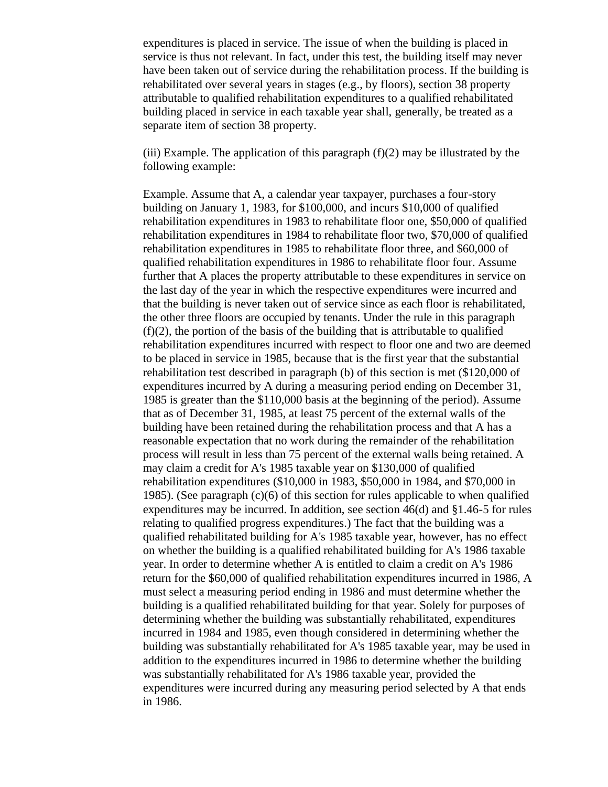expenditures is placed in service. The issue of when the building is placed in service is thus not relevant. In fact, under this test, the building itself may never have been taken out of service during the rehabilitation process. If the building is rehabilitated over several years in stages (e.g., by floors), section 38 property attributable to qualified rehabilitation expenditures to a qualified rehabilitated building placed in service in each taxable year shall, generally, be treated as a separate item of section 38 property.

(iii) Example. The application of this paragraph  $(f)(2)$  may be illustrated by the following example:

Example. Assume that A, a calendar year taxpayer, purchases a four-story building on January 1, 1983, for \$100,000, and incurs \$10,000 of qualified rehabilitation expenditures in 1983 to rehabilitate floor one, \$50,000 of qualified rehabilitation expenditures in 1984 to rehabilitate floor two, \$70,000 of qualified rehabilitation expenditures in 1985 to rehabilitate floor three, and \$60,000 of qualified rehabilitation expenditures in 1986 to rehabilitate floor four. Assume further that A places the property attributable to these expenditures in service on the last day of the year in which the respective expenditures were incurred and that the building is never taken out of service since as each floor is rehabilitated, the other three floors are occupied by tenants. Under the rule in this paragraph  $(f)(2)$ , the portion of the basis of the building that is attributable to qualified rehabilitation expenditures incurred with respect to floor one and two are deemed to be placed in service in 1985, because that is the first year that the substantial rehabilitation test described in paragraph (b) of this section is met (\$120,000 of expenditures incurred by A during a measuring period ending on December 31, 1985 is greater than the \$110,000 basis at the beginning of the period). Assume that as of December 31, 1985, at least 75 percent of the external walls of the building have been retained during the rehabilitation process and that A has a reasonable expectation that no work during the remainder of the rehabilitation process will result in less than 75 percent of the external walls being retained. A may claim a credit for A's 1985 taxable year on \$130,000 of qualified rehabilitation expenditures (\$10,000 in 1983, \$50,000 in 1984, and \$70,000 in 1985). (See paragraph  $(c)(6)$  of this section for rules applicable to when qualified expenditures may be incurred. In addition, see section 46(d) and §1.46-5 for rules relating to qualified progress expenditures.) The fact that the building was a qualified rehabilitated building for A's 1985 taxable year, however, has no effect on whether the building is a qualified rehabilitated building for A's 1986 taxable year. In order to determine whether A is entitled to claim a credit on A's 1986 return for the \$60,000 of qualified rehabilitation expenditures incurred in 1986, A must select a measuring period ending in 1986 and must determine whether the building is a qualified rehabilitated building for that year. Solely for purposes of determining whether the building was substantially rehabilitated, expenditures incurred in 1984 and 1985, even though considered in determining whether the building was substantially rehabilitated for A's 1985 taxable year, may be used in addition to the expenditures incurred in 1986 to determine whether the building was substantially rehabilitated for A's 1986 taxable year, provided the expenditures were incurred during any measuring period selected by A that ends in 1986.